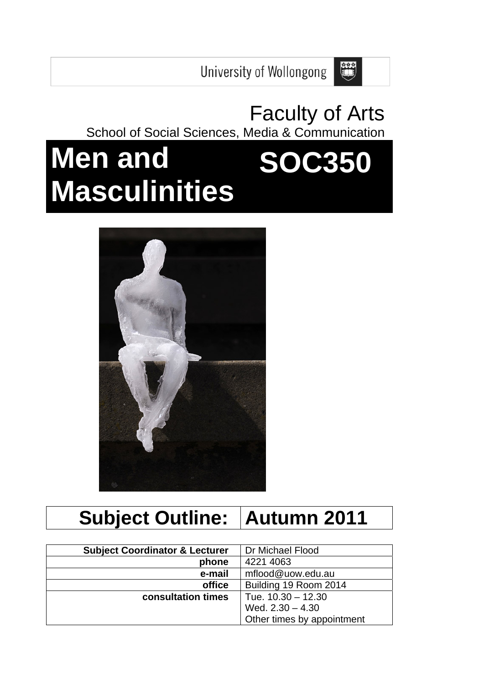

E

School of Social Sciences, Media & Communication

# **Men and Masculinities SOC350**



# **Subject Outline: Autumn 2011**

| <b>Subject Coordinator &amp; Lecturer</b> | Dr Michael Flood           |
|-------------------------------------------|----------------------------|
| phone                                     | 4221 4063                  |
| e-mail                                    | mflood@uow.edu.au          |
| office                                    | Building 19 Room 2014      |
| consultation times                        | Tue. 10.30 - 12.30         |
|                                           | Wed. $2.30 - 4.30$         |
|                                           | Other times by appointment |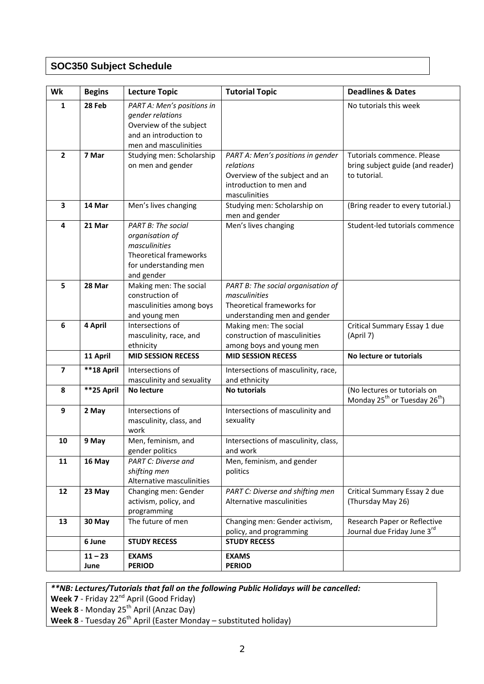# **SOC350 Subject Schedule**

| Wk                      | <b>Begins</b>     | <b>Lecture Topic</b>                                                                                                         | <b>Tutorial Topic</b>                                                                                                        | <b>Deadlines &amp; Dates</b>                                                          |
|-------------------------|-------------------|------------------------------------------------------------------------------------------------------------------------------|------------------------------------------------------------------------------------------------------------------------------|---------------------------------------------------------------------------------------|
| $\mathbf{1}$            | 28 Feb            | PART A: Men's positions in<br>gender relations<br>Overview of the subject<br>and an introduction to<br>men and masculinities |                                                                                                                              | No tutorials this week                                                                |
| $\overline{2}$          | 7 Mar             | Studying men: Scholarship<br>on men and gender                                                                               | PART A: Men's positions in gender<br>relations<br>Overview of the subject and an<br>introduction to men and<br>masculinities | Tutorials commence. Please<br>bring subject guide (and reader)<br>to tutorial.        |
| 3                       | 14 Mar            | Men's lives changing                                                                                                         | Studying men: Scholarship on<br>men and gender                                                                               | (Bring reader to every tutorial.)                                                     |
| 4                       | 21 Mar            | PART B: The social<br>organisation of<br>masculinities<br>Theoretical frameworks<br>for understanding men<br>and gender      | Men's lives changing                                                                                                         | Student-led tutorials commence                                                        |
| 5                       | 28 Mar            | Making men: The social<br>construction of<br>masculinities among boys<br>and young men                                       | PART B: The social organisation of<br>masculinities<br>Theoretical frameworks for<br>understanding men and gender            |                                                                                       |
| 6                       | 4 April           | Intersections of<br>masculinity, race, and<br>ethnicity                                                                      | Making men: The social<br>construction of masculinities<br>among boys and young men                                          | Critical Summary Essay 1 due<br>(April 7)                                             |
|                         | 11 April          | <b>MID SESSION RECESS</b>                                                                                                    | <b>MID SESSION RECESS</b>                                                                                                    | No lecture or tutorials                                                               |
| $\overline{\mathbf{z}}$ | **18 April        | Intersections of<br>masculinity and sexuality                                                                                | Intersections of masculinity, race,<br>and ethnicity                                                                         |                                                                                       |
| 8                       | **25 April        | No lecture                                                                                                                   | <b>No tutorials</b>                                                                                                          | (No lectures or tutorials on<br>Monday 25 <sup>th</sup> or Tuesday 26 <sup>th</sup> ) |
| 9                       | 2 May             | Intersections of<br>masculinity, class, and<br>work                                                                          | Intersections of masculinity and<br>sexuality                                                                                |                                                                                       |
| 10                      | 9 May             | Men, feminism, and<br>gender politics                                                                                        | Intersections of masculinity, class,<br>and work                                                                             |                                                                                       |
| 11                      | 16 May            | <b>PART C: Diverse and</b><br>shifting men<br>Alternative masculinities                                                      | Men, feminism, and gender<br>politics                                                                                        |                                                                                       |
| 12                      | 23 May            | Changing men: Gender<br>activism, policy, and<br>programming                                                                 | PART C: Diverse and shifting men<br>Alternative masculinities                                                                | Critical Summary Essay 2 due<br>(Thursday May 26)                                     |
| 13                      | 30 May            | The future of men                                                                                                            | Changing men: Gender activism,<br>policy, and programming                                                                    | Research Paper or Reflective<br>Journal due Friday June 3rd                           |
|                         | 6 June            | <b>STUDY RECESS</b>                                                                                                          | <b>STUDY RECESS</b>                                                                                                          |                                                                                       |
|                         | $11 - 23$<br>June | <b>EXAMS</b><br><b>PERIOD</b>                                                                                                | <b>EXAMS</b><br><b>PERIOD</b>                                                                                                |                                                                                       |

*\*\*NB: Lectures/Tutorials that fall on the following Public Holidays will be cancelled:*

**Week 7** ‐ Friday 22nd April (Good Friday)

**Week 8** ‐ Monday 25th April (Anzac Day)

**Week 8** ‐ Tuesday 26th April (Easter Monday – substituted holiday)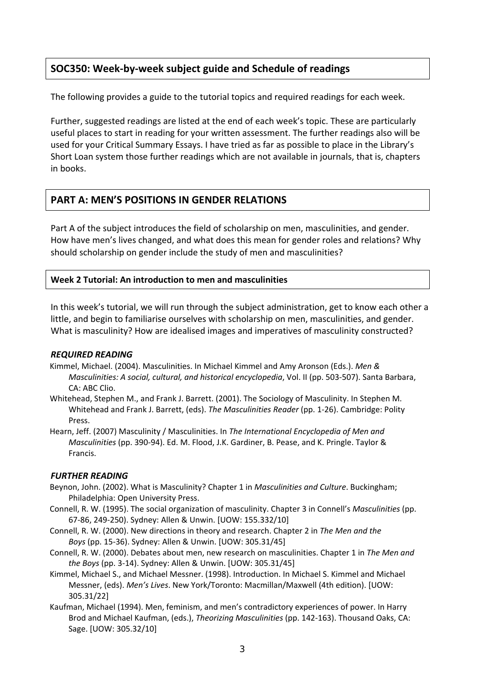# **SOC350: Week‐by‐week subject guide and Schedule of readings**

The following provides a guide to the tutorial topics and required readings for each week.

Further, suggested readings are listed at the end of each week's topic. These are particularly useful places to start in reading for your written assessment. The further readings also will be used for your Critical Summary Essays. I have tried as far as possible to place in the Library's Short Loan system those further readings which are not available in journals, that is, chapters in books.

# **PART A: MEN'S POSITIONS IN GENDER RELATIONS**

Part A of the subject introduces the field of scholarship on men, masculinities, and gender. How have men's lives changed, and what does this mean for gender roles and relations? Why should scholarship on gender include the study of men and masculinities?

## **Week 2 Tutorial: An introduction to men and masculinities**

In this week's tutorial, we will run through the subject administration, get to know each other a little, and begin to familiarise ourselves with scholarship on men, masculinities, and gender. What is masculinity? How are idealised images and imperatives of masculinity constructed?

## *REQUIRED READING*

- Kimmel, Michael. (2004). Masculinities. In Michael Kimmel and Amy Aronson (Eds.). *Men & Masculinities: A social, cultural, and historical encyclopedia*, Vol. II (pp. 503‐507). Santa Barbara, CA: ABC Clio.
- Whitehead, Stephen M., and Frank J. Barrett. (2001). The Sociology of Masculinity. In Stephen M. Whitehead and Frank J. Barrett, (eds). *The Masculinities Reader* (pp. 1‐26). Cambridge: Polity Press.
- Hearn, Jeff. (2007) Masculinity / Masculinities. In *The International Encyclopedia of Men and Masculinities* (pp. 390‐94). Ed. M. Flood, J.K. Gardiner, B. Pease, and K. Pringle. Taylor & Francis.

## *FURTHER READING*

- Beynon, John. (2002). What is Masculinity? Chapter 1 in *Masculinities and Culture*. Buckingham; Philadelphia: Open University Press.
- Connell, R. W. (1995). The social organization of masculinity. Chapter 3 in Connell's *Masculinities* (pp. 67‐86, 249‐250). Sydney: Allen & Unwin. [UOW: 155.332/10]
- Connell, R. W. (2000). New directions in theory and research. Chapter 2 in *The Men and the Boys* (pp. 15‐36). Sydney: Allen & Unwin. [UOW: 305.31/45]
- Connell, R. W. (2000). Debates about men, new research on masculinities. Chapter 1 in *The Men and the Boys* (pp. 3‐14). Sydney: Allen & Unwin. [UOW: 305.31/45]
- Kimmel, Michael S., and Michael Messner. (1998). Introduction. In Michael S. Kimmel and Michael Messner, (eds). *Men's Lives*. New York/Toronto: Macmillan/Maxwell (4th edition). [UOW: 305.31/22]
- Kaufman, Michael (1994). Men, feminism, and men's contradictory experiences of power. In Harry Brod and Michael Kaufman, (eds.), *Theorizing Masculinities* (pp. 142‐163). Thousand Oaks, CA: Sage. [UOW: 305.32/10]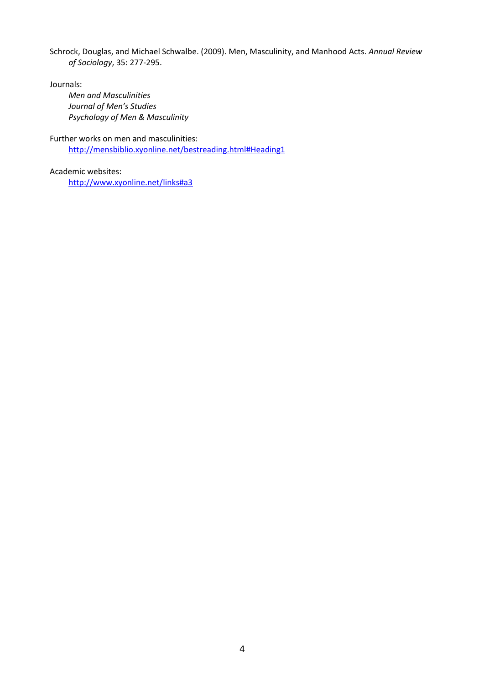Schrock, Douglas, and Michael Schwalbe. (2009). Men, Masculinity, and Manhood Acts. *Annual Review of Sociology*, 35: 277‐295.

Journals:

*Men and Masculinities Journal of Men's Studies Psychology of Men & Masculinity*

Further works on men and masculinities: http://mensbiblio.xyonline.net/bestreading.html#Heading1

Academic websites: http://www.xyonline.net/links#a3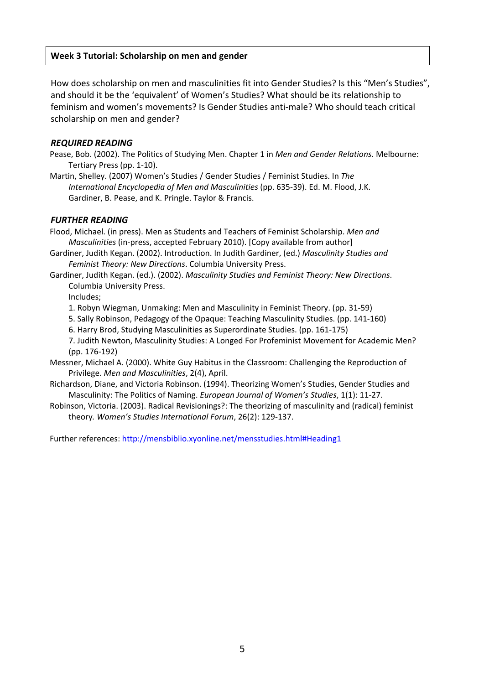## **Week 3 Tutorial: Scholarship on men and gender**

How does scholarship on men and masculinities fit into Gender Studies? Is this "Men's Studies", and should it be the 'equivalent' of Women's Studies? What should be its relationship to feminism and women's movements? Is Gender Studies anti‐male? Who should teach critical scholarship on men and gender?

#### *REQUIRED READING*

Pease, Bob. (2002). The Politics of Studying Men. Chapter 1 in *Men and Gender Relations*. Melbourne: Tertiary Press (pp. 1‐10).

Martin, Shelley. (2007) Women's Studies / Gender Studies / Feminist Studies. In *The International Encyclopedia of Men and Masculinities* (pp. 635‐39). Ed. M. Flood, J.K. Gardiner, B. Pease, and K. Pringle. Taylor & Francis.

#### *FURTHER READING*

Flood, Michael. (in press). Men as Students and Teachers of Feminist Scholarship. *Men and Masculinities* (in‐press, accepted February 2010). [Copy available from author]

Gardiner, Judith Kegan. (2002). Introduction. In Judith Gardiner, (ed.) *Masculinity Studies and Feminist Theory: New Directions*. Columbia University Press.

Gardiner, Judith Kegan. (ed.). (2002). *Masculinity Studies and Feminist Theory: New Directions*. Columbia University Press.

Includes;

1. Robyn Wiegman, Unmaking: Men and Masculinity in Feminist Theory. (pp. 31‐59)

5. Sally Robinson, Pedagogy of the Opaque: Teaching Masculinity Studies. (pp. 141‐160)

6. Harry Brod, Studying Masculinities as Superordinate Studies. (pp. 161‐175)

7. Judith Newton, Masculinity Studies: A Longed For Profeminist Movement for Academic Men? (pp. 176‐192)

Messner, Michael A. (2000). White Guy Habitus in the Classroom: Challenging the Reproduction of Privilege. *Men and Masculinities*, 2(4), April.

Richardson, Diane, and Victoria Robinson. (1994). Theorizing Women's Studies, Gender Studies and Masculinity: The Politics of Naming. *European Journal of Women's Studies*, 1(1): 11‐27.

Robinson, Victoria. (2003). Radical Revisionings?: The theorizing of masculinity and (radical) feminist theory*. Women's Studies International Forum*, 26(2): 129‐137.

Further references: http://mensbiblio.xyonline.net/mensstudies.html#Heading1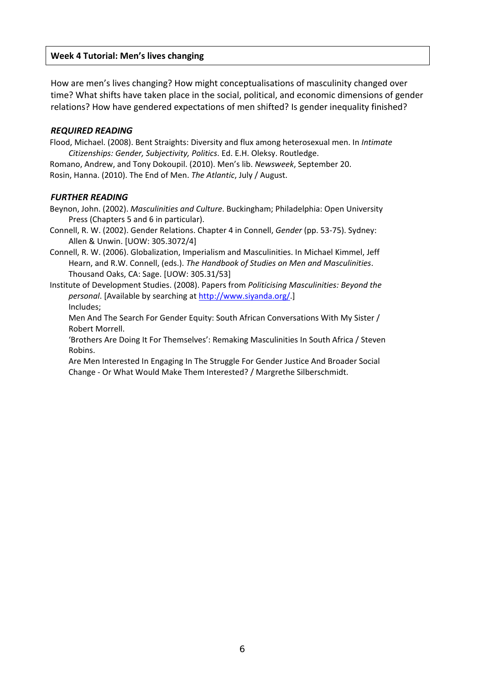## **Week 4 Tutorial: Men's lives changing**

How are men's lives changing? How might conceptualisations of masculinity changed over time? What shifts have taken place in the social, political, and economic dimensions of gender relations? How have gendered expectations of men shifted? Is gender inequality finished?

#### *REQUIRED READING*

Flood, Michael. (2008). Bent Straights: Diversity and flux among heterosexual men. In *Intimate Citizenships: Gender, Subjectivity, Politics*. Ed. E.H. Oleksy. Routledge. Romano, Andrew, and Tony Dokoupil. (2010). Men's lib. *Newsweek*, September 20.

Rosin, Hanna. (2010). The End of Men. *The Atlantic*, July / August.

#### *FURTHER READING*

Beynon, John. (2002). *Masculinities and Culture*. Buckingham; Philadelphia: Open University Press (Chapters 5 and 6 in particular).

- Connell, R. W. (2002). Gender Relations. Chapter 4 in Connell, *Gender* (pp. 53‐75). Sydney: Allen & Unwin. [UOW: 305.3072/4]
- Connell, R. W. (2006). Globalization, Imperialism and Masculinities. In Michael Kimmel, Jeff Hearn, and R.W. Connell, (eds.). *The Handbook of Studies on Men and Masculinities*. Thousand Oaks, CA: Sage. [UOW: 305.31/53]

Institute of Development Studies. (2008). Papers from *Politicising Masculinities: Beyond the personal*. [Available by searching at http://www.siyanda.org/.] Includes;

Men And The Search For Gender Equity: South African Conversations With My Sister / Robert Morrell.

'Brothers Are Doing It For Themselves': Remaking Masculinities In South Africa / Steven Robins.

Are Men Interested In Engaging In The Struggle For Gender Justice And Broader Social Change ‐ Or What Would Make Them Interested? / Margrethe Silberschmidt.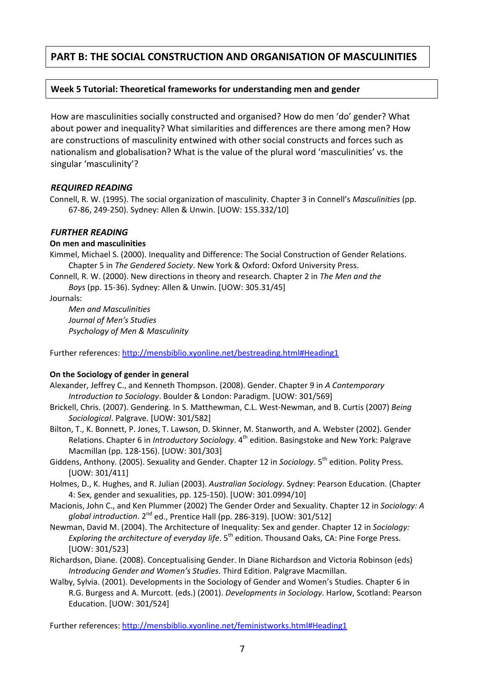# **PART B: THE SOCIAL CONSTRUCTION AND ORGANISATION OF MASCULINITIES**

## **Week 5 Tutorial: Theoretical frameworks for understanding men and gender**

How are masculinities socially constructed and organised? How do men 'do' gender? What about power and inequality? What similarities and differences are there among men? How are constructions of masculinity entwined with other social constructs and forces such as nationalism and globalisation? What is the value of the plural word 'masculinities' vs. the singular 'masculinity'?

## *REQUIRED READING*

Connell, R. W. (1995). The social organization of masculinity. Chapter 3 in Connell's *Masculinities* (pp. 67‐86, 249‐250). Sydney: Allen & Unwin. [UOW: 155.332/10]

#### *FURTHER READING*

#### **On men and masculinities**

Kimmel, Michael S. (2000). Inequality and Difference: The Social Construction of Gender Relations. Chapter 5 in *The Gendered Society*. New York & Oxford: Oxford University Press.

Connell, R. W. (2000). New directions in theory and research. Chapter 2 in *The Men and the*

*Boys* (pp. 15‐36). Sydney: Allen & Unwin. [UOW: 305.31/45]

Journals:

*Men and Masculinities Journal of Men's Studies Psychology of Men & Masculinity*

Further references: http://mensbiblio.xyonline.net/bestreading.html#Heading1

## **On the Sociology of gender in general**

- Alexander, Jeffrey C., and Kenneth Thompson. (2008). Gender. Chapter 9 in *A Contemporary Introduction to Sociology*. Boulder & London: Paradigm. [UOW: 301/569]
- Brickell, Chris. (2007). Gendering. In S. Matthewman, C.L. West‐Newman, and B. Curtis (2007) *Being Sociological*. Palgrave. [UOW: 301/582]
- Bilton, T., K. Bonnett, P. Jones, T. Lawson, D. Skinner, M. Stanworth, and A. Webster (2002). Gender Relations. Chapter 6 in *Introductory Sociology*. 4<sup>th</sup> edition. Basingstoke and New York: Palgrave Macmillan (pp. 128‐156). [UOW: 301/303]
- Giddens, Anthony. (2005). Sexuality and Gender. Chapter 12 in *Sociology*. 5<sup>th</sup> edition. Polity Press. [UOW: 301/411]
- Holmes, D., K. Hughes, and R. Julian (2003). *Australian Sociology*. Sydney: Pearson Education. (Chapter 4: Sex, gender and sexualities, pp. 125‐150). [UOW: 301.0994/10]
- Macionis, John C., and Ken Plummer (2002) The Gender Order and Sexuality. Chapter 12 in *Sociology: A global introduction*. 2nd ed., Prentice Hall (pp. 286‐319). [UOW: 301/512]
- Newman, David M. (2004). The Architecture of Inequality: Sex and gender. Chapter 12 in *Sociology: Exploring the architecture of everyday life*. 5th edition. Thousand Oaks, CA: Pine Forge Press. [UOW: 301/523]
- Richardson, Diane. (2008). Conceptualising Gender. In Diane Richardson and Victoria Robinson (eds) *Introducing Gender and Women's Studies*. Third Edition. Palgrave Macmillan.
- Walby, Sylvia. (2001). Developments in the Sociology of Gender and Women's Studies. Chapter 6 in R.G. Burgess and A. Murcott. (eds.) (2001). *Developments in Sociology*. Harlow, Scotland: Pearson Education. [UOW: 301/524]

Further references: http://mensbiblio.xyonline.net/feministworks.html#Heading1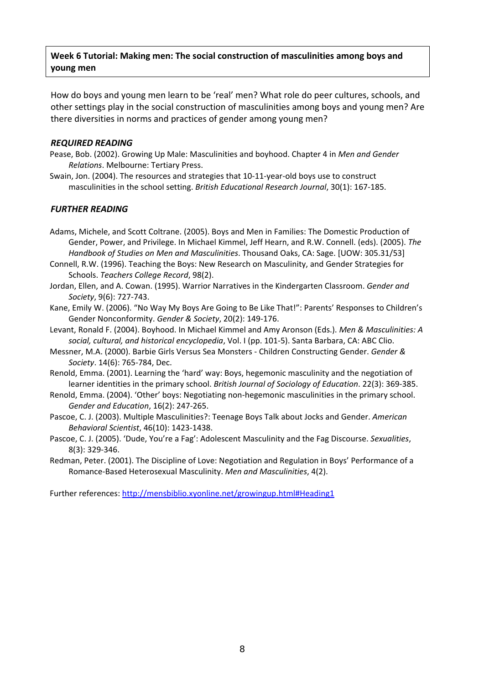## **Week 6 Tutorial: Making men: The social construction of masculinities among boys and young men**

How do boys and young men learn to be 'real' men? What role do peer cultures, schools, and other settings play in the social construction of masculinities among boys and young men? Are there diversities in norms and practices of gender among young men?

#### *REQUIRED READING*

- Pease, Bob. (2002). Growing Up Male: Masculinities and boyhood. Chapter 4 in *Men and Gender Relations*. Melbourne: Tertiary Press.
- Swain, Jon. (2004). The resources and strategies that 10‐11‐year‐old boys use to construct masculinities in the school setting. *British Educational Research Journal*, 30(1): 167‐185.

## *FURTHER READING*

- Adams, Michele, and Scott Coltrane. (2005). Boys and Men in Families: The Domestic Production of Gender, Power, and Privilege. In Michael Kimmel, Jeff Hearn, and R.W. Connell. (eds). (2005). *The Handbook of Studies on Men and Masculinities*. Thousand Oaks, CA: Sage. [UOW: 305.31/53]
- Connell, R.W. (1996). Teaching the Boys: New Research on Masculinity, and Gender Strategies for Schools. *Teachers College Record*, 98(2).
- Jordan, Ellen, and A. Cowan. (1995). Warrior Narratives in the Kindergarten Classroom. *Gender and Society*, 9(6): 727‐743.
- Kane, Emily W. (2006). "No Way My Boys Are Going to Be Like That!": Parents' Responses to Children's Gender Nonconformity. *Gender & Society*, 20(2): 149‐176.
- Levant, Ronald F. (2004). Boyhood. In Michael Kimmel and Amy Aronson (Eds.). *Men & Masculinities: A social, cultural, and historical encyclopedia*, Vol. I (pp. 101‐5). Santa Barbara, CA: ABC Clio.
- Messner, M.A. (2000). Barbie Girls Versus Sea Monsters ‐ Children Constructing Gender. *Gender & Society*. 14(6): 765‐784, Dec.
- Renold, Emma. (2001). Learning the 'hard' way: Boys, hegemonic masculinity and the negotiation of learner identities in the primary school. *British Journal of Sociology of Education*. 22(3): 369‐385.
- Renold, Emma. (2004). 'Other' boys: Negotiating non‐hegemonic masculinities in the primary school. *Gender and Education*, 16(2): 247‐265.
- Pascoe, C. J. (2003). Multiple Masculinities?: Teenage Boys Talk about Jocks and Gender. *American Behavioral Scientist*, 46(10): 1423‐1438.
- Pascoe, C. J. (2005). 'Dude, You're a Fag': Adolescent Masculinity and the Fag Discourse. *Sexualities*, 8(3): 329‐346.
- Redman, Peter. (2001). The Discipline of Love: Negotiation and Regulation in Boys' Performance of a Romance‐Based Heterosexual Masculinity. *Men and Masculinities*, 4(2).

Further references: http://mensbiblio.xyonline.net/growingup.html#Heading1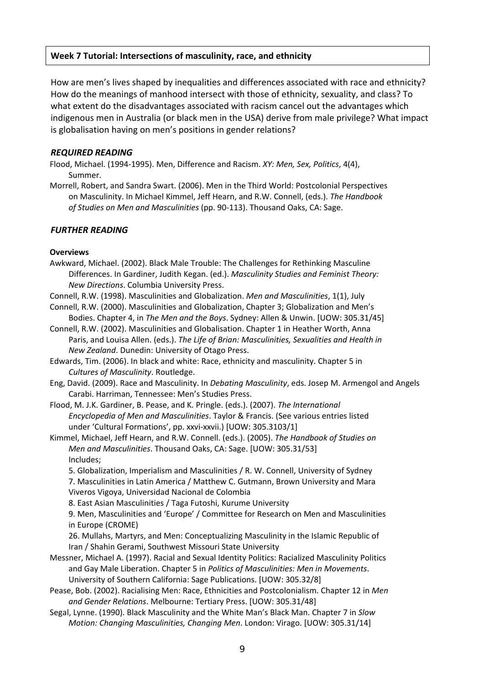## **Week 7 Tutorial: Intersections of masculinity, race, and ethnicity**

How are men's lives shaped by inequalities and differences associated with race and ethnicity? How do the meanings of manhood intersect with those of ethnicity, sexuality, and class? To what extent do the disadvantages associated with racism cancel out the advantages which indigenous men in Australia (or black men in the USA) derive from male privilege? What impact is globalisation having on men's positions in gender relations?

## *REQUIRED READING*

Flood, Michael. (1994‐1995). Men, Difference and Racism. *XY: Men, Sex, Politics*, 4(4), Summer.

Morrell, Robert, and Sandra Swart. (2006). Men in the Third World: Postcolonial Perspectives on Masculinity. In Michael Kimmel, Jeff Hearn, and R.W. Connell, (eds.). *The Handbook of Studies on Men and Masculinities* (pp. 90‐113). Thousand Oaks, CA: Sage.

## *FURTHER READING*

#### **Overviews**

Awkward, Michael. (2002). Black Male Trouble: The Challenges for Rethinking Masculine Differences. In Gardiner, Judith Kegan. (ed.). *Masculinity Studies and Feminist Theory: New Directions*. Columbia University Press.

Connell, R.W. (1998). Masculinities and Globalization. *Men and Masculinities*, 1(1), July

- Connell, R.W. (2000). Masculinities and Globalization, Chapter 3; Globalization and Men's Bodies. Chapter 4, in *The Men and the Boys*. Sydney: Allen & Unwin. [UOW: 305.31/45]
- Connell, R.W. (2002). Masculinities and Globalisation. Chapter 1 in Heather Worth, Anna Paris, and Louisa Allen. (eds.). *The Life of Brian: Masculinities, Sexualities and Health in New Zealand*. Dunedin: University of Otago Press.
- Edwards, Tim. (2006). In black and white: Race, ethnicity and masculinity. Chapter 5 in *Cultures of Masculinity*. Routledge.
- Eng, David. (2009). Race and Masculinity. In *Debating Masculinity*, eds. Josep M. Armengol and Angels Carabi. Harriman, Tennessee: Men's Studies Press.
- Flood, M. J.K. Gardiner, B. Pease, and K. Pringle. (eds.). (2007). *The International Encyclopedia of Men and Masculinities*. Taylor & Francis. (See various entries listed under 'Cultural Formations', pp. xxvi-xxvii.) [UOW: 305.3103/1]
- Kimmel, Michael, Jeff Hearn, and R.W. Connell. (eds.). (2005). *The Handbook of Studies on Men and Masculinities*. Thousand Oaks, CA: Sage. [UOW: 305.31/53] Includes;

5. Globalization, Imperialism and Masculinities / R. W. Connell, University of Sydney

7. Masculinities in Latin America / Matthew C. Gutmann, Brown University and Mara Viveros Vigoya, Universidad Nacional de Colombia

8. East Asian Masculinities / Taga Futoshi, Kurume University

9. Men, Masculinities and 'Europe' / Committee for Research on Men and Masculinities in Europe (CROME)

26. Mullahs, Martyrs, and Men: Conceptualizing Masculinity in the Islamic Republic of Iran / Shahin Gerami, Southwest Missouri State University

Messner, Michael A. (1997). Racial and Sexual Identity Politics: Racialized Masculinity Politics and Gay Male Liberation. Chapter 5 in *Politics of Masculinities: Men in Movements*. University of Southern California: Sage Publications. [UOW: 305.32/8]

Pease, Bob. (2002). Racialising Men: Race, Ethnicities and Postcolonialism. Chapter 12 in *Men and Gender Relations*. Melbourne: Tertiary Press. [UOW: 305.31/48]

Segal, Lynne. (1990). Black Masculinity and the White Man's Black Man. Chapter 7 in *Slow Motion: Changing Masculinities, Changing Men*. London: Virago. [UOW: 305.31/14]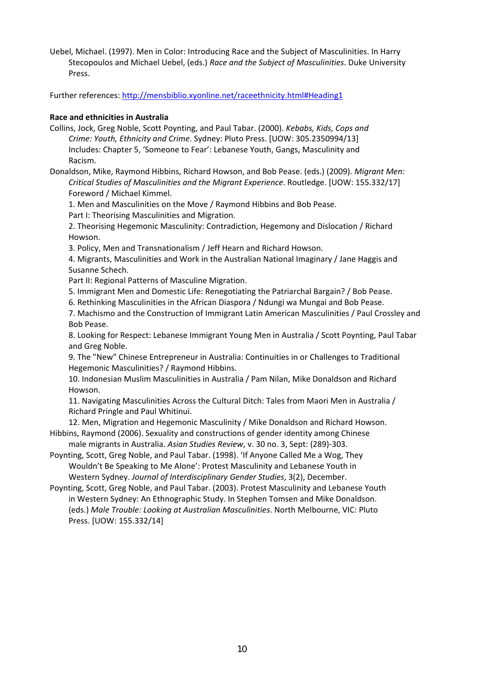Uebel, Michael. (1997). Men in Color: Introducing Race and the Subject of Masculinities. In Harry Stecopoulos and Michael Uebel, (eds.) *Race and the Subject of Masculinities*. Duke University Press.

Further references: http://mensbiblio.xyonline.net/raceethnicity.html#Heading1

#### **Race and ethnicities in Australia**

Collins, Jock, Greg Noble, Scott Poynting, and Paul Tabar. (2000). *Kebabs, Kids, Cops and Crime: Youth, Ethnicity and Crime*. Sydney: Pluto Press. [UOW: 305.2350994/13] Includes: Chapter 5, 'Someone to Fear': Lebanese Youth, Gangs, Masculinity and Racism.

Donaldson, Mike, Raymond Hibbins, Richard Howson, and Bob Pease. (eds.) (2009). *Migrant Men: Critical Studies of Masculinities and the Migrant Experience*. Routledge. [UOW: 155.332/17] Foreword / Michael Kimmel.

1. Men and Masculinities on the Move / Raymond Hibbins and Bob Pease.

Part I: Theorising Masculinities and Migration.

2. Theorising Hegemonic Masculinity: Contradiction, Hegemony and Dislocation / Richard Howson.

3. Policy, Men and Transnationalism / Jeff Hearn and Richard Howson.

4. Migrants, Masculinities and Work in the Australian National Imaginary / Jane Haggis and Susanne Schech.

Part II: Regional Patterns of Masculine Migration.

5. Immigrant Men and Domestic Life: Renegotiating the Patriarchal Bargain? / Bob Pease.

6. Rethinking Masculinities in the African Diaspora / Ndungi wa Mungai and Bob Pease.

7. Machismo and the Construction of Immigrant Latin American Masculinities / Paul Crossley and Bob Pease.

8. Looking for Respect: Lebanese Immigrant Young Men in Australia / Scott Poynting, Paul Tabar and Greg Noble.

9. The "New" Chinese Entrepreneur in Australia: Continuities in or Challenges to Traditional Hegemonic Masculinities? / Raymond Hibbins.

10. Indonesian Muslim Masculinities in Australia / Pam Nilan, Mike Donaldson and Richard Howson.

11. Navigating Masculinities Across the Cultural Ditch: Tales from Maori Men in Australia / Richard Pringle and Paul Whitinui.

12. Men, Migration and Hegemonic Masculinity / Mike Donaldson and Richard Howson. Hibbins, Raymond (2006). Sexuality and constructions of gender identity among Chinese

male migrants in Australia. *Asian Studies Review*, v. 30 no. 3, Sept: (289)‐303.

Poynting, Scott, Greg Noble, and Paul Tabar. (1998). 'If Anyone Called Me a Wog, They Wouldn't Be Speaking to Me Alone': Protest Masculinity and Lebanese Youth in Western Sydney. *Journal of Interdisciplinary Gender Studies*, 3(2), December.

Poynting, Scott, Greg Noble, and Paul Tabar. (2003). Protest Masculinity and Lebanese Youth in Western Sydney: An Ethnographic Study. In Stephen Tomsen and Mike Donaldson. (eds.) *Male Trouble: Looking at Australian Masculinities*. North Melbourne, VIC: Pluto Press. [UOW: 155.332/14]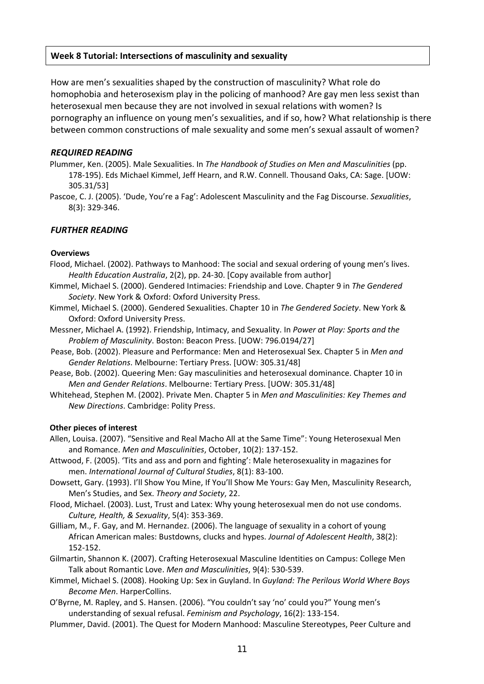## **Week 8 Tutorial: Intersections of masculinity and sexuality**

How are men's sexualities shaped by the construction of masculinity? What role do homophobia and heterosexism play in the policing of manhood? Are gay men less sexist than heterosexual men because they are not involved in sexual relations with women? Is pornography an influence on young men's sexualities, and if so, how? What relationship is there between common constructions of male sexuality and some men's sexual assault of women?

#### *REQUIRED READING*

Plummer, Ken. (2005). Male Sexualities. In *The Handbook of Studies on Men and Masculinities* (pp. 178‐195). Eds Michael Kimmel, Jeff Hearn, and R.W. Connell. Thousand Oaks, CA: Sage. [UOW: 305.31/53]

Pascoe, C. J. (2005). 'Dude, You're a Fag': Adolescent Masculinity and the Fag Discourse. *Sexualities*, 8(3): 329‐346.

#### *FURTHER READING*

#### **Overviews**

- Flood, Michael. (2002). Pathways to Manhood: The social and sexual ordering of young men's lives. *Health Education Australia*, 2(2), pp. 24‐30. [Copy available from author]
- Kimmel, Michael S. (2000). Gendered Intimacies: Friendship and Love. Chapter 9 in *The Gendered Society*. New York & Oxford: Oxford University Press.
- Kimmel, Michael S. (2000). Gendered Sexualities. Chapter 10 in *The Gendered Society*. New York & Oxford: Oxford University Press.
- Messner, Michael A. (1992). Friendship, Intimacy, and Sexuality. In *Power at Play: Sports and the Problem of Masculinity*. Boston: Beacon Press. [UOW: 796.0194/27]
- Pease, Bob. (2002). Pleasure and Performance: Men and Heterosexual Sex. Chapter 5 in *Men and Gender Relations*. Melbourne: Tertiary Press. [UOW: 305.31/48]
- Pease, Bob. (2002). Queering Men: Gay masculinities and heterosexual dominance. Chapter 10 in *Men and Gender Relations*. Melbourne: Tertiary Press. [UOW: 305.31/48]
- Whitehead, Stephen M. (2002). Private Men. Chapter 5 in *Men and Masculinities: Key Themes and New Directions*. Cambridge: Polity Press.

#### **Other pieces of interest**

- Allen, Louisa. (2007). "Sensitive and Real Macho All at the Same Time": Young Heterosexual Men and Romance. *Men and Masculinities*, October, 10(2): 137‐152.
- Attwood, F. (2005). 'Tits and ass and porn and fighting': Male heterosexuality in magazines for men. *International Journal of Cultural Studies*, 8(1): 83‐100.
- Dowsett, Gary. (1993). I'll Show You Mine, If You'll Show Me Yours: Gay Men, Masculinity Research, Men's Studies, and Sex. *Theory and Society*, 22.
- Flood, Michael. (2003). Lust, Trust and Latex: Why young heterosexual men do not use condoms. *Culture, Health, & Sexuality*, 5(4): 353‐369.
- Gilliam, M., F. Gay, and M. Hernandez. (2006). The language of sexuality in a cohort of young African American males: Bustdowns, clucks and hypes. *Journal of Adolescent Health*, 38(2): 152‐152.
- Gilmartin, Shannon K. (2007). Crafting Heterosexual Masculine Identities on Campus: College Men Talk about Romantic Love. *Men and Masculinities*, 9(4): 530‐539.
- Kimmel, Michael S. (2008). Hooking Up: Sex in Guyland. In *Guyland: The Perilous World Where Boys Become Men*. HarperCollins.
- O'Byrne, M. Rapley, and S. Hansen. (2006). "You couldn't say 'no' could you?" Young men's understanding of sexual refusal. *Feminism and Psychology*, 16(2): 133‐154.
- Plummer, David. (2001). The Quest for Modern Manhood: Masculine Stereotypes, Peer Culture and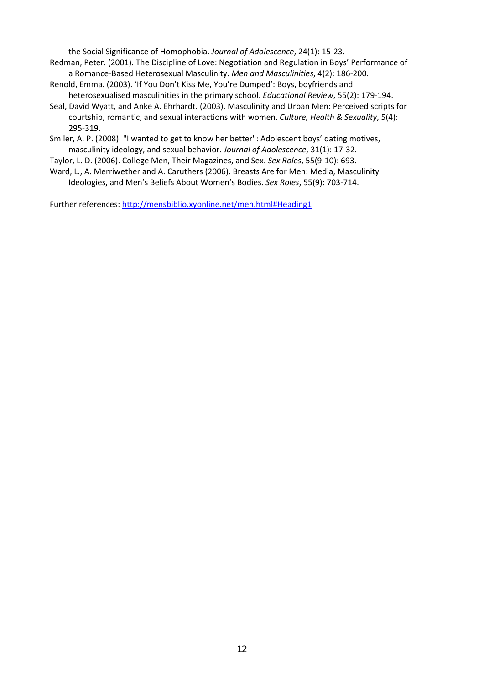the Social Significance of Homophobia. *Journal of Adolescence*, 24(1): 15‐23.

- Redman, Peter. (2001). The Discipline of Love: Negotiation and Regulation in Boys' Performance of a Romance‐Based Heterosexual Masculinity. *Men and Masculinities*, 4(2): 186‐200.
- Renold, Emma. (2003). 'If You Don't Kiss Me, You're Dumped': Boys, boyfriends and heterosexualised masculinities in the primary school. *Educational Review*, 55(2): 179‐194.
- Seal, David Wyatt, and Anke A. Ehrhardt. (2003). Masculinity and Urban Men: Perceived scripts for courtship, romantic, and sexual interactions with women. *Culture, Health & Sexuality*, 5(4): 295‐319.
- Smiler, A. P. (2008). "I wanted to get to know her better": Adolescent boys' dating motives, masculinity ideology, and sexual behavior. *Journal of Adolescence*, 31(1): 17‐32.
- Taylor, L. D. (2006). College Men, Their Magazines, and Sex. *Sex Roles*, 55(9‐10): 693.
- Ward, L., A. Merriwether and A. Caruthers (2006). Breasts Are for Men: Media, Masculinity Ideologies, and Men's Beliefs About Women's Bodies. *Sex Roles*, 55(9): 703‐714.

Further references: http://mensbiblio.xyonline.net/men.html#Heading1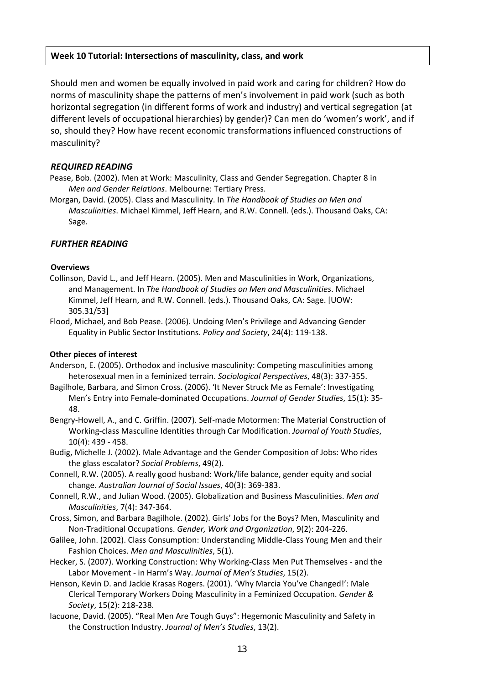## **Week 10 Tutorial: Intersections of masculinity, class, and work**

Should men and women be equally involved in paid work and caring for children? How do norms of masculinity shape the patterns of men's involvement in paid work (such as both horizontal segregation (in different forms of work and industry) and vertical segregation (at different levels of occupational hierarchies) by gender)? Can men do 'women's work', and if so, should they? How have recent economic transformations influenced constructions of masculinity?

#### *REQUIRED READING*

Pease, Bob. (2002). Men at Work: Masculinity, Class and Gender Segregation. Chapter 8 in *Men and Gender Relations*. Melbourne: Tertiary Press.

Morgan, David. (2005). Class and Masculinity. In *The Handbook of Studies on Men and Masculinities*. Michael Kimmel, Jeff Hearn, and R.W. Connell. (eds.). Thousand Oaks, CA: Sage.

#### *FURTHER READING*

#### **Overviews**

- Collinson, David L., and Jeff Hearn. (2005). Men and Masculinities in Work, Organizations, and Management. In *The Handbook of Studies on Men and Masculinities*. Michael Kimmel, Jeff Hearn, and R.W. Connell. (eds.). Thousand Oaks, CA: Sage. [UOW: 305.31/53]
- Flood, Michael, and Bob Pease. (2006). Undoing Men's Privilege and Advancing Gender Equality in Public Sector Institutions. *Policy and Society*, 24(4): 119‐138.

#### **Other pieces of interest**

- Anderson, E. (2005). Orthodox and inclusive masculinity: Competing masculinities among heterosexual men in a feminized terrain. *Sociological Perspectives*, 48(3): 337‐355.
- Bagilhole, Barbara, and Simon Cross. (2006). 'It Never Struck Me as Female': Investigating Men's Entry into Female‐dominated Occupations. *Journal of Gender Studies*, 15(1): 35‐ 48.
- Bengry-Howell, A., and C. Griffin. (2007). Self-made Motormen: The Material Construction of Working‐class Masculine Identities through Car Modification. *Journal of Youth Studies*, 10(4): 439 ‐ 458.
- Budig, Michelle J. (2002). Male Advantage and the Gender Composition of Jobs: Who rides the glass escalator? *Social Problems*, 49(2).
- Connell, R.W. (2005). A really good husband: Work/life balance, gender equity and social change. *Australian Journal of Social Issues*, 40(3): 369‐383.
- Connell, R.W., and Julian Wood. (2005). Globalization and Business Masculinities. *Men and Masculinities*, 7(4): 347‐364.
- Cross, Simon, and Barbara Bagilhole. (2002). Girls' Jobs for the Boys? Men, Masculinity and Non‐Traditional Occupations. *Gender, Work and Organization*, 9(2): 204‐226.
- Galilee, John. (2002). Class Consumption: Understanding Middle‐Class Young Men and their Fashion Choices. *Men and Masculinities*, 5(1).
- Hecker, S. (2007). Working Construction: Why Working-Class Men Put Themselves and the Labor Movement ‐ in Harm's Way. *Journal of Men's Studies*, 15(2).
- Henson, Kevin D. and Jackie Krasas Rogers. (2001). 'Why Marcia You've Changed!': Male Clerical Temporary Workers Doing Masculinity in a Feminized Occupation. *Gender & Society*, 15(2): 218‐238.
- Iacuone, David. (2005). "Real Men Are Tough Guys": Hegemonic Masculinity and Safety in the Construction Industry. *Journal of Men's Studies*, 13(2).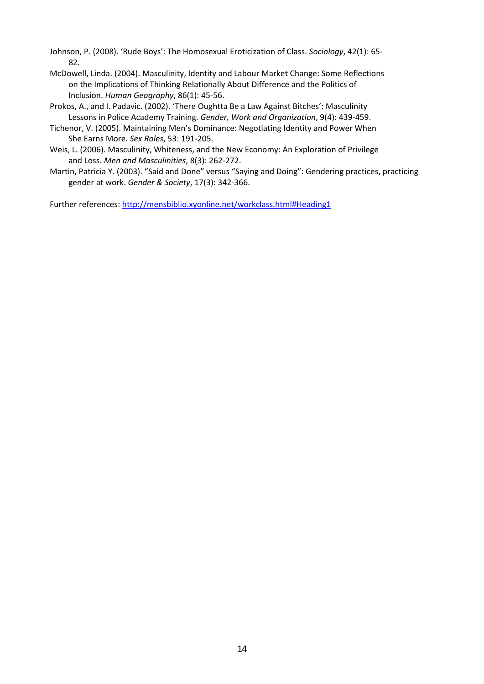Johnson, P. (2008). 'Rude Boys': The Homosexual Eroticization of Class. *Sociology*, 42(1): 65‐ 82.

- McDowell, Linda. (2004). Masculinity, Identity and Labour Market Change: Some Reflections on the Implications of Thinking Relationally About Difference and the Politics of Inclusion. *Human Geography*, 86(1): 45‐56.
- Prokos, A., and I. Padavic. (2002). 'There Oughtta Be a Law Against Bitches': Masculinity Lessons in Police Academy Training. *Gender, Work and Organization*, 9(4): 439‐459.
- Tichenor, V. (2005). Maintaining Men's Dominance: Negotiating Identity and Power When She Earns More. *Sex Roles*, 53: 191‐205.
- Weis, L. (2006). Masculinity, Whiteness, and the New Economy: An Exploration of Privilege and Loss. *Men and Masculinities*, 8(3): 262‐272.
- Martin, Patricia Y. (2003). "Said and Done" versus "Saying and Doing": Gendering practices, practicing gender at work. *Gender & Society*, 17(3): 342‐366.

Further references: http://mensbiblio.xyonline.net/workclass.html#Heading1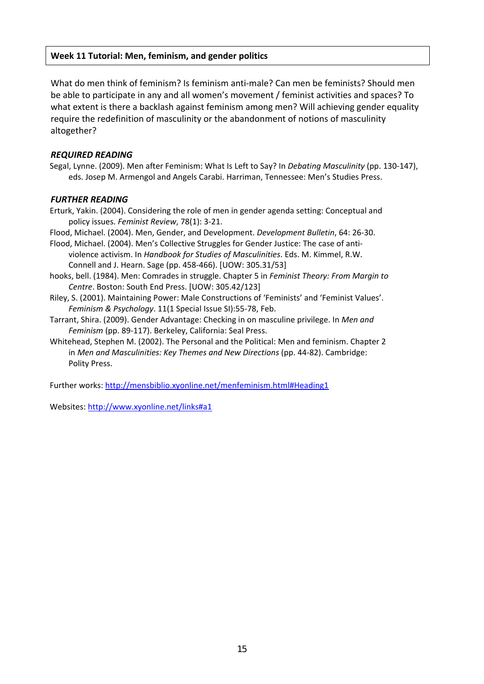## **Week 11 Tutorial: Men, feminism, and gender politics**

What do men think of feminism? Is feminism anti-male? Can men be feminists? Should men be able to participate in any and all women's movement / feminist activities and spaces? To what extent is there a backlash against feminism among men? Will achieving gender equality require the redefinition of masculinity or the abandonment of notions of masculinity altogether?

## *REQUIRED READING*

Segal, Lynne. (2009). Men after Feminism: What Is Left to Say? In *Debating Masculinity* (pp. 130‐147), eds. Josep M. Armengol and Angels Carabi. Harriman, Tennessee: Men's Studies Press.

#### *FURTHER READING*

Erturk, Yakin. (2004). Considering the role of men in gender agenda setting: Conceptual and policy issues. *Feminist Review*, 78(1): 3‐21.

Flood, Michael. (2004). Men, Gender, and Development. *Development Bulletin*, 64: 26‐30.

- Flood, Michael. (2004). Men's Collective Struggles for Gender Justice: The case of anti‐ violence activism. In *Handbook for Studies of Masculinities*. Eds. M. Kimmel, R.W. Connell and J. Hearn. Sage (pp. 458‐466). [UOW: 305.31/53]
- hooks, bell. (1984). Men: Comrades in struggle. Chapter 5 in *Feminist Theory: From Margin to Centre*. Boston: South End Press. [UOW: 305.42/123]
- Riley, S. (2001). Maintaining Power: Male Constructions of 'Feminists' and 'Feminist Values'. *Feminism & Psychology*. 11(1 Special Issue SI):55‐78, Feb.
- Tarrant, Shira. (2009). Gender Advantage: Checking in on masculine privilege. In *Men and Feminism* (pp. 89‐117). Berkeley, California: Seal Press.
- Whitehead, Stephen M. (2002). The Personal and the Political: Men and feminism. Chapter 2 in *Men and Masculinities: Key Themes and New Directions* (pp. 44‐82). Cambridge: Polity Press.

Further works: http://mensbiblio.xyonline.net/menfeminism.html#Heading1

Websites: http://www.xyonline.net/links#a1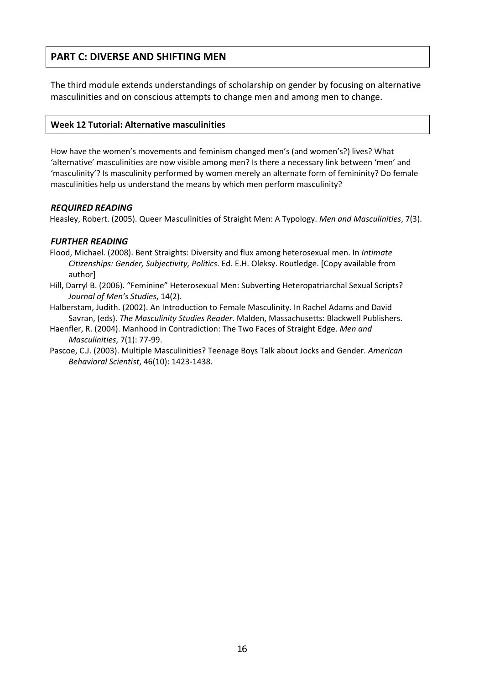# **PART C: DIVERSE AND SHIFTING MEN**

The third module extends understandings of scholarship on gender by focusing on alternative masculinities and on conscious attempts to change men and among men to change.

#### **Week 12 Tutorial: Alternative masculinities**

How have the women's movements and feminism changed men's (and women's?) lives? What 'alternative' masculinities are now visible among men? Is there a necessary link between 'men' and 'masculinity'? Is masculinity performed by women merely an alternate form of femininity? Do female masculinities help us understand the means by which men perform masculinity?

#### *REQUIRED READING*

Heasley, Robert. (2005). Queer Masculinities of Straight Men: A Typology. *Men and Masculinities*, 7(3).

## *FURTHER READING*

- Flood, Michael. (2008). Bent Straights: Diversity and flux among heterosexual men. In *Intimate Citizenships: Gender, Subjectivity, Politics*. Ed. E.H. Oleksy. Routledge. [Copy available from author]
- Hill, Darryl B. (2006). "Feminine" Heterosexual Men: Subverting Heteropatriarchal Sexual Scripts? *Journal of Men's Studies*, 14(2).
- Halberstam, Judith. (2002). An Introduction to Female Masculinity. In Rachel Adams and David Savran, (eds). *The Masculinity Studies Reader*. Malden, Massachusetts: Blackwell Publishers.
- Haenfler, R. (2004). Manhood in Contradiction: The Two Faces of Straight Edge. *Men and Masculinities*, 7(1): 77‐99.
- Pascoe, C.J. (2003). Multiple Masculinities? Teenage Boys Talk about Jocks and Gender. *American Behavioral Scientist*, 46(10): 1423‐1438.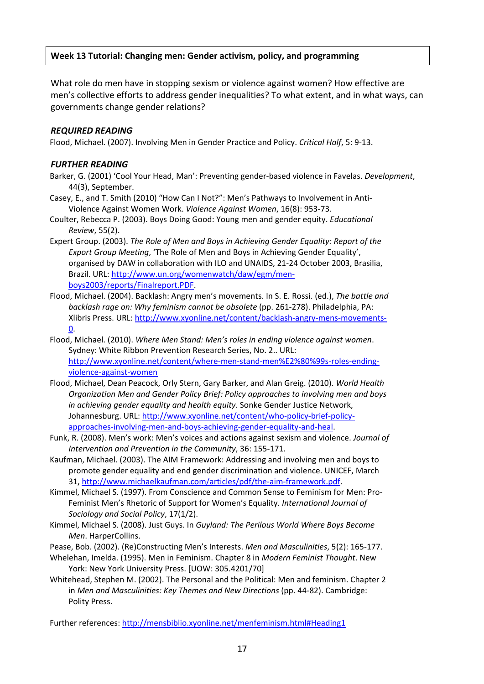## **Week 13 Tutorial: Changing men: Gender activism, policy, and programming**

What role do men have in stopping sexism or violence against women? How effective are men's collective efforts to address gender inequalities? To what extent, and in what ways, can governments change gender relations?

#### *REQUIRED READING*

Flood, Michael. (2007). Involving Men in Gender Practice and Policy. *Critical Half*, 5: 9‐13.

#### *FURTHER READING*

- Barker, G. (2001) 'Cool Your Head, Man': Preventing gender‐based violence in Favelas. *Development*, 44(3), September.
- Casey, E., and T. Smith (2010) "How Can I Not?": Men's Pathways to Involvement in Anti‐ Violence Against Women Work. *Violence Against Women*, 16(8): 953‐73.
- Coulter, Rebecca P. (2003). Boys Doing Good: Young men and gender equity. *Educational Review*, 55(2).
- Expert Group. (2003). *The Role of Men and Boys in Achieving Gender Equality: Report of the Export Group Meeting*, 'The Role of Men and Boys in Achieving Gender Equality', organised by DAW in collaboration with ILO and UNAIDS, 21‐24 October 2003, Brasilia, Brazil. URL: http://www.un.org/womenwatch/daw/egm/men‐ boys2003/reports/Finalreport.PDF.
- Flood, Michael. (2004). Backlash: Angry men's movements. In S. E. Rossi. (ed.), *The battle and backlash rage on: Why feminism cannot be obsolete* (pp. 261‐278). Philadelphia, PA: Xlibris Press. URL: http://www.xyonline.net/content/backlash‐angry‐mens‐movements‐ 0.
- Flood, Michael. (2010). *Where Men Stand: Men's roles in ending violence against women*. Sydney: White Ribbon Prevention Research Series, No. 2.. URL: http://www.xyonline.net/content/where‐men‐stand‐men%E2%80%99s‐roles‐ending‐ violence‐against‐women
- Flood, Michael, Dean Peacock, Orly Stern, Gary Barker, and Alan Greig. (2010). *World Health Organization Men and Gender Policy Brief: Policy approaches to involving men and boys in achieving gender equality and health equity*. Sonke Gender Justice Network, Johannesburg. URL: http://www.xyonline.net/content/who-policy-brief-policyapproaches‐involving‐men‐and‐boys‐achieving‐gender‐equality‐and‐heal.
- Funk, R. (2008). Men's work: Men's voices and actions against sexism and violence. *Journal of Intervention and Prevention in the Community*, 36: 155‐171.
- Kaufman, Michael. (2003). The AIM Framework: Addressing and involving men and boys to promote gender equality and end gender discrimination and violence. UNICEF, March 31, http://www.michaelkaufman.com/articles/pdf/the‐aim‐framework.pdf.
- Kimmel, Michael S. (1997). From Conscience and Common Sense to Feminism for Men: Pro‐ Feminist Men's Rhetoric of Support for Women's Equality. *International Journal of Sociology and Social Policy*, 17(1/2).
- Kimmel, Michael S. (2008). Just Guys. In *Guyland: The Perilous World Where Boys Become Men*. HarperCollins.
- Pease, Bob. (2002). (Re)Constructing Men's Interests. *Men and Masculinities*, 5(2): 165‐177.
- Whelehan, Imelda. (1995). Men in Feminism. Chapter 8 in *Modern Feminist Thought*. New York: New York University Press. [UOW: 305.4201/70]
- Whitehead, Stephen M. (2002). The Personal and the Political: Men and feminism. Chapter 2 in *Men and Masculinities: Key Themes and New Directions* (pp. 44‐82). Cambridge: Polity Press.

Further references: http://mensbiblio.xyonline.net/menfeminism.html#Heading1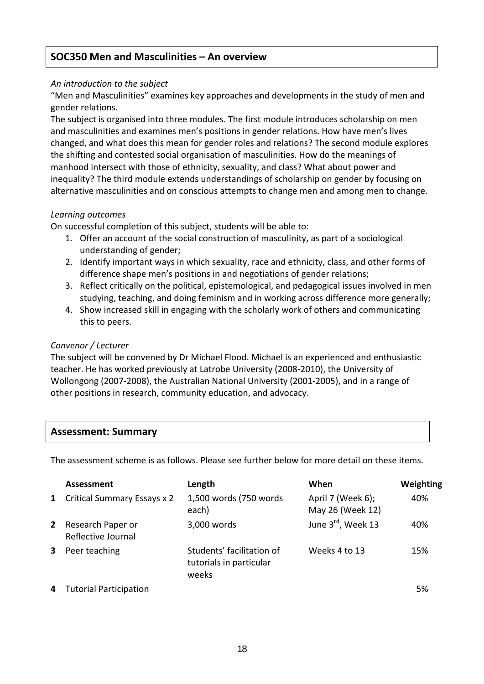# **SOC350 Men and Masculinities – An overview**

## *An introduction to the subject*

"Men and Masculinities" examines key approaches and developments in the study of men and gender relations.

The subject is organised into three modules. The first module introduces scholarship on men and masculinities and examines men's positions in gender relations. How have men's lives changed, and what does this mean for gender roles and relations? The second module explores the shifting and contested social organisation of masculinities. How do the meanings of manhood intersect with those of ethnicity, sexuality, and class? What about power and inequality? The third module extends understandings of scholarship on gender by focusing on alternative masculinities and on conscious attempts to change men and among men to change.

## *Learning outcomes*

On successful completion of this subject, students will be able to:

- 1. Offer an account of the social construction of masculinity, as part of a sociological understanding of gender;
- 2. Identify important ways in which sexuality, race and ethnicity, class, and other forms of difference shape men's positions in and negotiations of gender relations;
- 3. Reflect critically on the political, epistemological, and pedagogical issues involved in men studying, teaching, and doing feminism and in working across difference more generally;
- 4. Show increased skill in engaging with the scholarly work of others and communicating this to peers.

## *Convenor / Lecturer*

The subject will be convened by Dr Michael Flood. Michael is an experienced and enthusiastic teacher. He has worked previously at Latrobe University (2008‐2010), the University of Wollongong (2007‐2008), the Australian National University (2001‐2005), and in a range of other positions in research, community education, and advocacy.

## **Assessment: Summary**

The assessment scheme is as follows. Please see further below for more detail on these items.

|              | <b>Assessment</b>                       | Length                                                        | When                                  | Weighting |
|--------------|-----------------------------------------|---------------------------------------------------------------|---------------------------------------|-----------|
| $\mathbf{1}$ | <b>Critical Summary Essays x 2</b>      | 1,500 words (750 words)<br>each)                              | April 7 (Week 6);<br>May 26 (Week 12) | 40%       |
| $2^{\circ}$  | Research Paper or<br>Reflective Journal | 3,000 words                                                   | June 3rd, Week 13                     | 40%       |
| 3            | Peer teaching                           | Students' facilitation of<br>tutorials in particular<br>weeks | Weeks 4 to 13                         | 15%       |
|              | 4 Tutorial Participation                |                                                               |                                       | 5%        |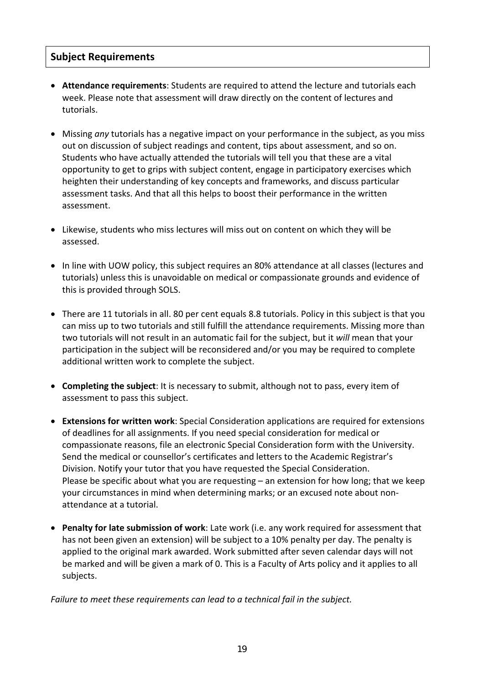# **Subject Requirements**

- **Attendance requirements**: Students are required to attend the lecture and tutorials each week. Please note that assessment will draw directly on the content of lectures and tutorials.
- Missing *any* tutorials has a negative impact on your performance in the subject, as you miss out on discussion of subject readings and content, tips about assessment, and so on. Students who have actually attended the tutorials will tell you that these are a vital opportunity to get to grips with subject content, engage in participatory exercises which heighten their understanding of key concepts and frameworks, and discuss particular assessment tasks. And that all this helps to boost their performance in the written assessment.
- Likewise, students who miss lectures will miss out on content on which they will be assessed.
- In line with UOW policy, this subject requires an 80% attendance at all classes (lectures and tutorials) unless this is unavoidable on medical or compassionate grounds and evidence of this is provided through SOLS.
- There are 11 tutorials in all. 80 per cent equals 8.8 tutorials. Policy in this subject is that you can miss up to two tutorials and still fulfill the attendance requirements. Missing more than two tutorials will not result in an automatic fail for the subject, but it *will* mean that your participation in the subject will be reconsidered and/or you may be required to complete additional written work to complete the subject.
- **Completing the subject**: It is necessary to submit, although not to pass, every item of assessment to pass this subject.
- **Extensions for written work**: Special Consideration applications are required for extensions of deadlines for all assignments. If you need special consideration for medical or compassionate reasons, file an electronic Special Consideration form with the University. Send the medical or counsellor's certificates and letters to the Academic Registrar's Division. Notify your tutor that you have requested the Special Consideration. Please be specific about what you are requesting – an extension for how long; that we keep your circumstances in mind when determining marks; or an excused note about non‐ attendance at a tutorial.
- **Penalty for late submission of work**: Late work (i.e. any work required for assessment that has not been given an extension) will be subject to a 10% penalty per day. The penalty is applied to the original mark awarded. Work submitted after seven calendar days will not be marked and will be given a mark of 0. This is a Faculty of Arts policy and it applies to all subjects.

*Failure to meet these requirements can lead to a technical fail in the subject.*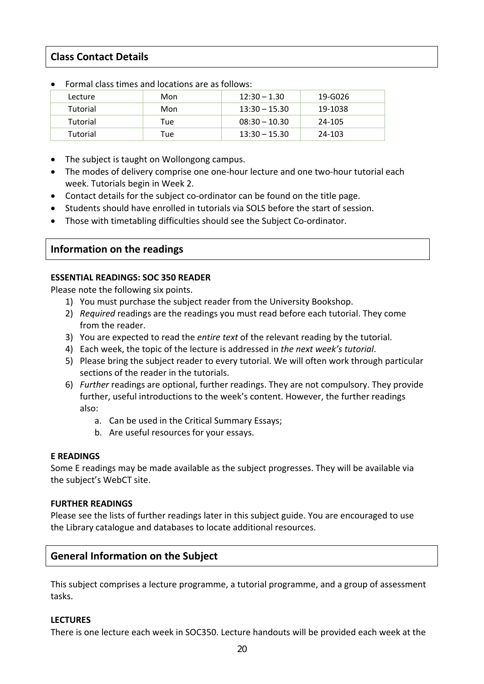# **Class Contact Details**

| TUTTIM CM35 CHILES MINTUCALIONS MIT AS TUNUWS. |     |                 |         |
|------------------------------------------------|-----|-----------------|---------|
| Lecture                                        | Mon | $12:30 - 1.30$  | 19-G026 |
| Tutorial                                       | Mon | $13:30 - 15.30$ | 19-1038 |
| Tutorial                                       | Tue | $08:30 - 10.30$ | 24-105  |
| Tutorial                                       | Tue | $13:30 - 15.30$ | 24-103  |

- Formal class times and locations are as follows:
- The subject is taught on Wollongong campus.
- The modes of delivery comprise one one-hour lecture and one two-hour tutorial each week. Tutorials begin in Week 2.
- Contact details for the subject co-ordinator can be found on the title page.
- Students should have enrolled in tutorials via SOLS before the start of session.
- Those with timetabling difficulties should see the Subject Co‐ordinator.

## **Information on the readings**

## **ESSENTIAL READINGS: SOC 350 READER**

Please note the following six points.

- 1) You must purchase the subject reader from the University Bookshop.
- 2) *Required* readings are the readings you must read before each tutorial. They come from the reader.
- 3) You are expected to read the *entire text* of the relevant reading by the tutorial.
- 4) Each week, the topic of the lecture is addressed in *the next week's tutorial*.
- 5) Please bring the subject reader to every tutorial. We will often work through particular sections of the reader in the tutorials.
- 6) *Further* readings are optional, further readings. They are not compulsory. They provide further, useful introductions to the week's content. However, the further readings also:
	- a. Can be used in the Critical Summary Essays;
	- b. Are useful resources for your essays.

## **E READINGS**

Some E readings may be made available as the subject progresses. They will be available via the subject's WebCT site.

## **FURTHER READINGS**

Please see the lists of further readings later in this subject guide. You are encouraged to use the Library catalogue and databases to locate additional resources.

# **General Information on the Subject**

This subject comprises a lecture programme, a tutorial programme, and a group of assessment tasks.

## **LECTURES**

There is one lecture each week in SOC350. Lecture handouts will be provided each week at the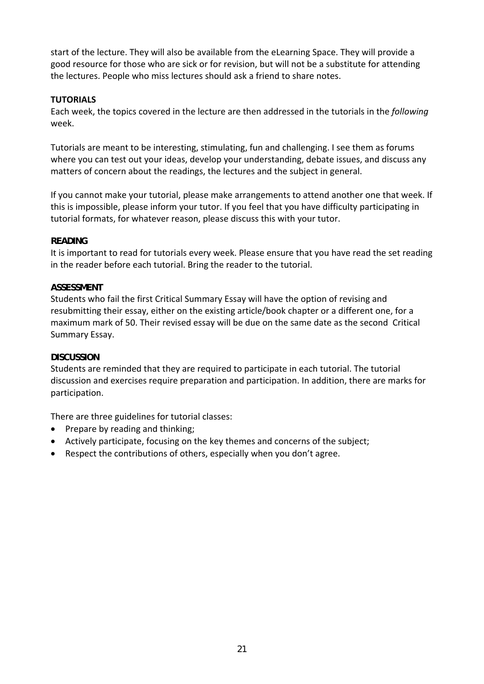start of the lecture. They will also be available from the eLearning Space. They will provide a good resource for those who are sick or for revision, but will not be a substitute for attending the lectures. People who miss lectures should ask a friend to share notes.

## **TUTORIALS**

Each week, the topics covered in the lecture are then addressed in the tutorials in the *following* week.

Tutorials are meant to be interesting, stimulating, fun and challenging. I see them as forums where you can test out your ideas, develop your understanding, debate issues, and discuss any matters of concern about the readings, the lectures and the subject in general.

If you cannot make your tutorial, please make arrangements to attend another one that week. If this is impossible, please inform your tutor. If you feel that you have difficulty participating in tutorial formats, for whatever reason, please discuss this with your tutor.

## **READING**

It is important to read for tutorials every week. Please ensure that you have read the set reading in the reader before each tutorial. Bring the reader to the tutorial.

## **ASSESSMENT**

Students who fail the first Critical Summary Essay will have the option of revising and resubmitting their essay, either on the existing article/book chapter or a different one, for a maximum mark of 50. Their revised essay will be due on the same date as the second Critical Summary Essay.

## **DISCUSSION**

Students are reminded that they are required to participate in each tutorial. The tutorial discussion and exercises require preparation and participation. In addition, there are marks for participation.

There are three guidelines for tutorial classes:

- Prepare by reading and thinking;
- Actively participate, focusing on the key themes and concerns of the subject;
- Respect the contributions of others, especially when you don't agree.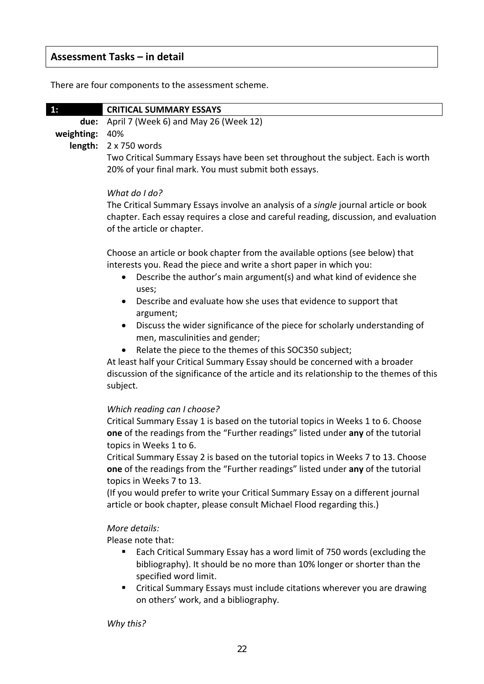# **Assessment Tasks – in detail**

There are four components to the assessment scheme.

| 1.             | <b>CRITICAL SUMMARY ESSAYS</b>                                                  |
|----------------|---------------------------------------------------------------------------------|
|                | due: April 7 (Week 6) and May 26 (Week 12)                                      |
| weighting: 40% |                                                                                 |
|                | <b>length:</b> $2 \times 750$ words                                             |
|                | Two Critical Summary Essays have been set throughout the subject. Each is worth |
|                | 20% of your final mark. You must submit both essays.                            |

#### *What do I do?*

The Critical Summary Essays involve an analysis of a *single* journal article or book chapter. Each essay requires a close and careful reading, discussion, and evaluation of the article or chapter.

Choose an article or book chapter from the available options (see below) that interests you. Read the piece and write a short paper in which you:

- Describe the author's main argument(s) and what kind of evidence she uses;
- Describe and evaluate how she uses that evidence to support that argument;
- Discuss the wider significance of the piece for scholarly understanding of men, masculinities and gender;
- Relate the piece to the themes of this SOC350 subject;

At least half your Critical Summary Essay should be concerned with a broader discussion of the significance of the article and its relationship to the themes of this subject.

## *Which reading can I choose?*

Critical Summary Essay 1 is based on the tutorial topics in Weeks 1 to 6. Choose **one** of the readings from the "Further readings" listed under **any** of the tutorial topics in Weeks 1 to 6.

Critical Summary Essay 2 is based on the tutorial topics in Weeks 7 to 13. Choose **one** of the readings from the "Further readings" listed under **any** of the tutorial topics in Weeks 7 to 13.

(If you would prefer to write your Critical Summary Essay on a different journal article or book chapter, please consult Michael Flood regarding this.)

## *More details:*

Please note that:

- Each Critical Summary Essay has a word limit of 750 words (excluding the bibliography). It should be no more than 10% longer or shorter than the specified word limit.
- Critical Summary Essays must include citations wherever you are drawing on others' work, and a bibliography.

*Why this?*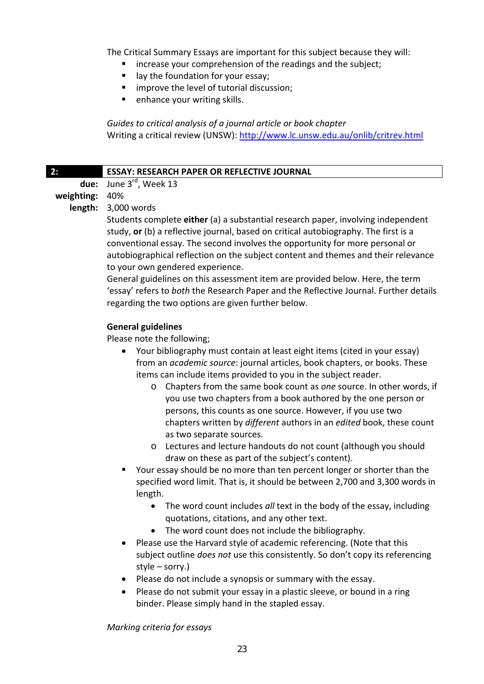The Critical Summary Essays are important for this subject because they will:

- **EXTERGHEER** increase your comprehension of the readings and the subject;
- **u** lay the foundation for your essay;
- **F** improve the level of tutorial discussion:
- **E** enhance your writing skills.

*Guides to critical analysis of a journal article or book chapter* Writing a critical review (UNSW): http://www.lc.unsw.edu.au/onlib/critrev.html

## **2: ESSAY: RESEARCH PAPER OR REFLECTIVE JOURNAL**

**due:** June 3rd, Week 13

# **weighting:** 40%

**length:** 3,000 words

Students complete **either** (a) a substantial research paper, involving independent study, **or** (b) a reflective journal, based on critical autobiography. The first is a conventional essay. The second involves the opportunity for more personal or autobiographical reflection on the subject content and themes and their relevance to your own gendered experience.

General guidelines on this assessment item are provided below. Here, the term 'essay' refers to *both* the Research Paper and the Reflective Journal. Further details regarding the two options are given further below.

## **General guidelines**

Please note the following;

- Your bibliography must contain at least eight items (cited in your essay) from an *academic source*: journal articles, book chapters, or books. These items can include items provided to you in the subject reader.
	- o Chapters from the same book count as *one* source. In other words, if you use two chapters from a book authored by the one person or persons, this counts as one source. However, if you use two chapters written by *different* authors in an *edited* book, these count as two separate sources.
	- o Lectures and lecture handouts do not count (although you should draw on these as part of the subject's content).
- Your essay should be no more than ten percent longer or shorter than the specified word limit. That is, it should be between 2,700 and 3,300 words in length.
	- The word count includes *all* text in the body of the essay, including quotations, citations, and any other text.
	- The word count does not include the bibliography.
- Please use the Harvard style of academic referencing. (Note that this subject outline *does not* use this consistently. So don't copy its referencing style – sorry.)
- Please do not include a synopsis or summary with the essay.
- Please do not submit your essay in a plastic sleeve, or bound in a ring binder. Please simply hand in the stapled essay.

*Marking criteria for essays*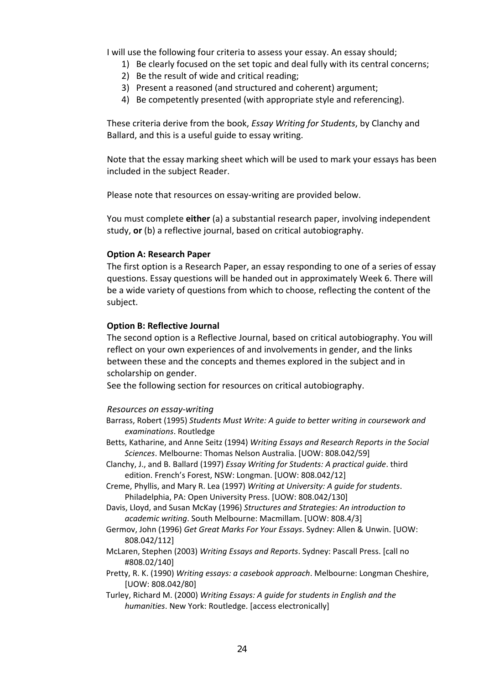I will use the following four criteria to assess your essay. An essay should;

- 1) Be clearly focused on the set topic and deal fully with its central concerns;
- 2) Be the result of wide and critical reading;
- 3) Present a reasoned (and structured and coherent) argument;
- 4) Be competently presented (with appropriate style and referencing).

These criteria derive from the book, *Essay Writing for Students*, by Clanchy and Ballard, and this is a useful guide to essay writing.

Note that the essay marking sheet which will be used to mark your essays has been included in the subject Reader.

Please note that resources on essay‐writing are provided below.

You must complete **either** (a) a substantial research paper, involving independent study, **or** (b) a reflective journal, based on critical autobiography.

#### **Option A: Research Paper**

The first option is a Research Paper, an essay responding to one of a series of essay questions. Essay questions will be handed out in approximately Week 6. There will be a wide variety of questions from which to choose, reflecting the content of the subject.

#### **Option B: Reflective Journal**

The second option is a Reflective Journal, based on critical autobiography. You will reflect on your own experiences of and involvements in gender, and the links between these and the concepts and themes explored in the subject and in scholarship on gender.

See the following section for resources on critical autobiography.

#### *Resources on essay‐writing*

- Barrass, Robert (1995) *Students Must Write: A guide to better writing in coursework and examinations*. Routledge
- Betts, Katharine, and Anne Seitz (1994) *Writing Essays and Research Reports in the Social Sciences*. Melbourne: Thomas Nelson Australia. [UOW: 808.042/59]
- Clanchy, J., and B. Ballard (1997) *Essay Writing for Students: A practical guide*. third edition. French's Forest, NSW: Longman. [UOW: 808.042/12]
- Creme, Phyllis, and Mary R. Lea (1997) *Writing at University: A guide for students*. Philadelphia, PA: Open University Press. [UOW: 808.042/130]
- Davis, Lloyd, and Susan McKay (1996) *Structures and Strategies: An introduction to academic writing*. South Melbourne: Macmillam. [UOW: 808.4/3]
- Germov, John (1996) *Get Great Marks For Your Essays*. Sydney: Allen & Unwin. [UOW: 808.042/112]
- McLaren, Stephen (2003) *Writing Essays and Reports*. Sydney: Pascall Press. [call no #808.02/140]
- Pretty, R. K. (1990) *Writing essays: a casebook approach*. Melbourne: Longman Cheshire, [UOW: 808.042/80]
- Turley, Richard M. (2000) *Writing Essays: A guide for students in English and the humanities*. New York: Routledge. [access electronically]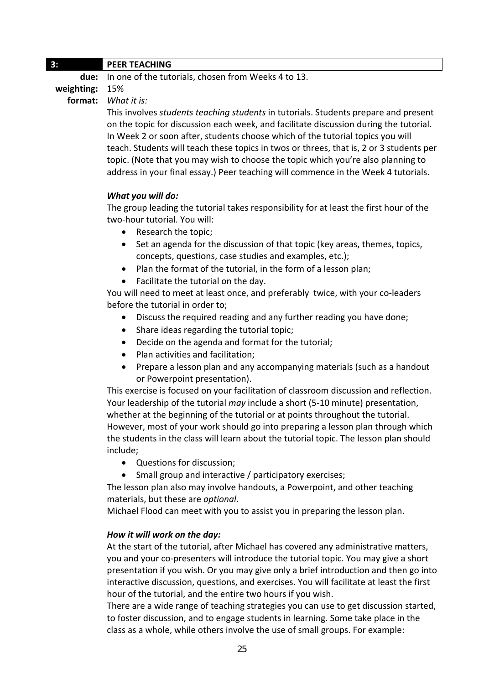## **3: PEER TEACHING**

**due:** In one of the tutorials, chosen from Weeks 4 to 13.

**weighting:** 15%

**format:** *What it is:*

This involves *students teaching students* in tutorials. Students prepare and present on the topic for discussion each week, and facilitate discussion during the tutorial. In Week 2 or soon after, students choose which of the tutorial topics you will teach. Students will teach these topics in twos or threes, that is, 2 or 3 students per topic. (Note that you may wish to choose the topic which you're also planning to address in your final essay.) Peer teaching will commence in the Week 4 tutorials.

## *What you will do:*

The group leading the tutorial takes responsibility for at least the first hour of the two‐hour tutorial. You will:

- Research the topic;
- Set an agenda for the discussion of that topic (key areas, themes, topics, concepts, questions, case studies and examples, etc.);
- Plan the format of the tutorial, in the form of a lesson plan;
- Facilitate the tutorial on the day.

You will need to meet at least once, and preferably twice, with your co-leaders before the tutorial in order to;

- Discuss the required reading and any further reading you have done;
- Share ideas regarding the tutorial topic;
- Decide on the agenda and format for the tutorial;
- Plan activities and facilitation:
- Prepare a lesson plan and any accompanying materials (such as a handout or Powerpoint presentation).

This exercise is focused on your facilitation of classroom discussion and reflection. Your leadership of the tutorial *may* include a short (5‐10 minute) presentation, whether at the beginning of the tutorial or at points throughout the tutorial. However, most of your work should go into preparing a lesson plan through which the students in the class will learn about the tutorial topic. The lesson plan should include;

- Questions for discussion;
- Small group and interactive / participatory exercises;

The lesson plan also may involve handouts, a Powerpoint, and other teaching materials, but these are *optional*.

Michael Flood can meet with you to assist you in preparing the lesson plan.

## *How it will work on the day:*

At the start of the tutorial, after Michael has covered any administrative matters, you and your co‐presenters will introduce the tutorial topic. You may give a short presentation if you wish. Or you may give only a brief introduction and then go into interactive discussion, questions, and exercises. You will facilitate at least the first hour of the tutorial, and the entire two hours if you wish.

There are a wide range of teaching strategies you can use to get discussion started, to foster discussion, and to engage students in learning. Some take place in the class as a whole, while others involve the use of small groups. For example: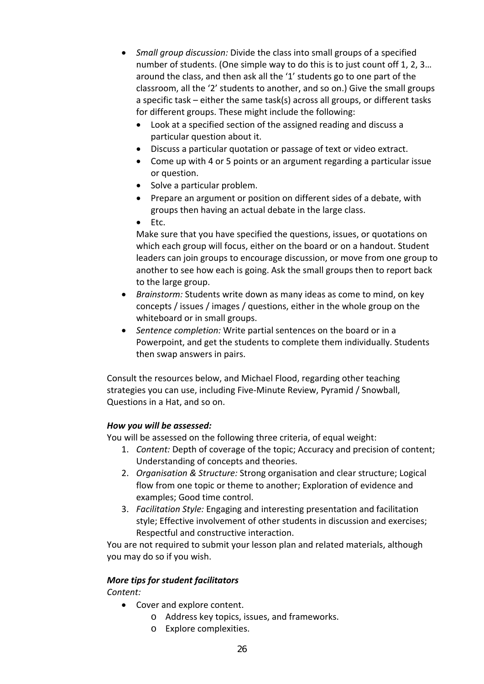- *Small group discussion:* Divide the class into small groups of a specified number of students. (One simple way to do this is to just count off 1, 2, 3… around the class, and then ask all the '1' students go to one part of the classroom, all the '2' students to another, and so on.) Give the small groups a specific task – either the same task(s) across all groups, or different tasks for different groups. These might include the following:
	- Look at a specified section of the assigned reading and discuss a particular question about it.
	- Discuss a particular quotation or passage of text or video extract.
	- Come up with 4 or 5 points or an argument regarding a particular issue or question.
	- Solve a particular problem.
	- Prepare an argument or position on different sides of a debate, with groups then having an actual debate in the large class.
	- $\bullet$  Etc.

Make sure that you have specified the questions, issues, or quotations on which each group will focus, either on the board or on a handout. Student leaders can join groups to encourage discussion, or move from one group to another to see how each is going. Ask the small groups then to report back to the large group.

- *Brainstorm:* Students write down as many ideas as come to mind, on key concepts / issues / images / questions, either in the whole group on the whiteboard or in small groups.
- *Sentence completion:* Write partial sentences on the board or in a Powerpoint, and get the students to complete them individually. Students then swap answers in pairs.

Consult the resources below, and Michael Flood, regarding other teaching strategies you can use, including Five‐Minute Review, Pyramid / Snowball, Questions in a Hat, and so on.

## *How you will be assessed:*

You will be assessed on the following three criteria, of equal weight:

- 1. *Content:* Depth of coverage of the topic; Accuracy and precision of content; Understanding of concepts and theories.
- 2. *Organisation & Structure:* Strong organisation and clear structure; Logical flow from one topic or theme to another; Exploration of evidence and examples; Good time control.
- 3. *Facilitation Style:* Engaging and interesting presentation and facilitation style; Effective involvement of other students in discussion and exercises; Respectful and constructive interaction.

You are not required to submit your lesson plan and related materials, although you may do so if you wish.

# *More tips for student facilitators*

## *Content:*

- Cover and explore content.
	- o Address key topics, issues, and frameworks.
	- o Explore complexities.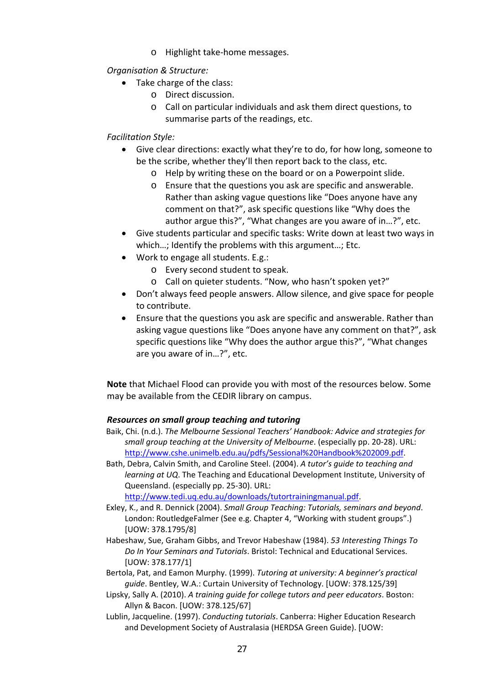o Highlight take‐home messages.

*Organisation & Structure:*

- Take charge of the class:
	- o Direct discussion.
	- o Call on particular individuals and ask them direct questions, to summarise parts of the readings, etc.

## *Facilitation Style:*

- Give clear directions: exactly what they're to do, for how long, someone to be the scribe, whether they'll then report back to the class, etc.
	- o Help by writing these on the board or on a Powerpoint slide.
	- o Ensure that the questions you ask are specific and answerable. Rather than asking vague questions like "Does anyone have any comment on that?", ask specific questions like "Why does the author argue this?", "What changes are you aware of in…?", etc.
- Give students particular and specific tasks: Write down at least two ways in which…; Identify the problems with this argument…; Etc.
- Work to engage all students. E.g.:
	- o Every second student to speak.
	- o Call on quieter students. "Now, who hasn't spoken yet?"
- Don't always feed people answers. Allow silence, and give space for people to contribute.
- Ensure that the questions you ask are specific and answerable. Rather than asking vague questions like "Does anyone have any comment on that?", ask specific questions like "Why does the author argue this?", "What changes are you aware of in…?", etc.

**Note** that Michael Flood can provide you with most of the resources below. Some may be available from the CEDIR library on campus.

## *Resources on small group teaching and tutoring*

- Baik, Chi. (n.d.). *The Melbourne Sessional Teachers' Handbook: Advice and strategies for small group teaching at the University of Melbourne*. (especially pp. 20‐28). URL: http://www.cshe.unimelb.edu.au/pdfs/Sessional%20Handbook%202009.pdf.
- Bath, Debra, Calvin Smith, and Caroline Steel. (2004). *A tutor's guide to teaching and learning at UQ*. The Teaching and Educational Development Institute, University of Queensland. (especially pp. 25‐30). URL:

http://www.tedi.uq.edu.au/downloads/tutortrainingmanual.pdf.

- Exley, K., and R. Dennick (2004). *Small Group Teaching: Tutorials, seminars and beyond*. London: RoutledgeFalmer (See e.g. Chapter 4, "Working with student groups".) [UOW: 378.1795/8]
- Habeshaw, Sue, Graham Gibbs, and Trevor Habeshaw (1984). *53 Interesting Things To Do In Your Seminars and Tutorials*. Bristol: Technical and Educational Services. [UOW: 378.177/1]
- Bertola, Pat, and Eamon Murphy. (1999). *Tutoring at university: A beginner's practical guide*. Bentley, W.A.: Curtain University of Technology. [UOW: 378.125/39]
- Lipsky, Sally A. (2010). *A training guide for college tutors and peer educators*. Boston: Allyn & Bacon. [UOW: 378.125/67]
- Lublin, Jacqueline. (1997). *Conducting tutorials*. Canberra: Higher Education Research and Development Society of Australasia (HERDSA Green Guide). [UOW: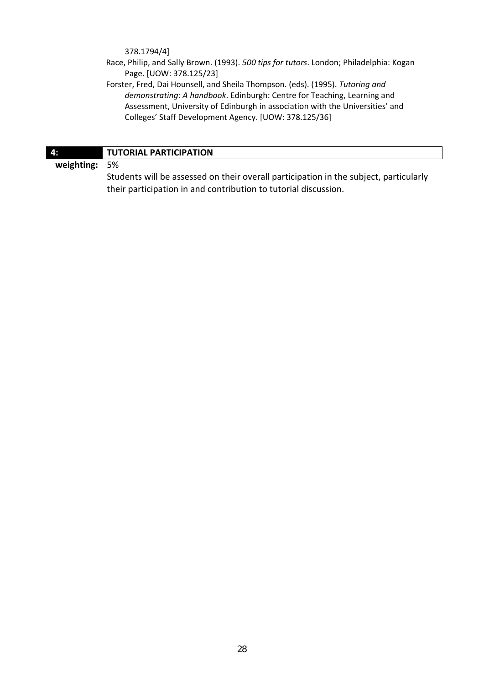378.1794/4]

- Race, Philip, and Sally Brown. (1993). *500 tips for tutors*. London; Philadelphia: Kogan Page. [UOW: 378.125/23]
- Forster, Fred, Dai Hounsell, and Sheila Thompson. (eds). (1995). *Tutoring and demonstrating: A handbook*. Edinburgh: Centre for Teaching, Learning and Assessment, University of Edinburgh in association with the Universities' and Colleges' Staff Development Agency. [UOW: 378.125/36]

| <b>47</b>     | <b>TUTORIAL PARTICIPATION</b>                                                         |  |
|---------------|---------------------------------------------------------------------------------------|--|
| weighting: 5% |                                                                                       |  |
|               | Students will be assessed on their overall participation in the subject, particularly |  |
|               | their participation in and contribution to tutorial discussion.                       |  |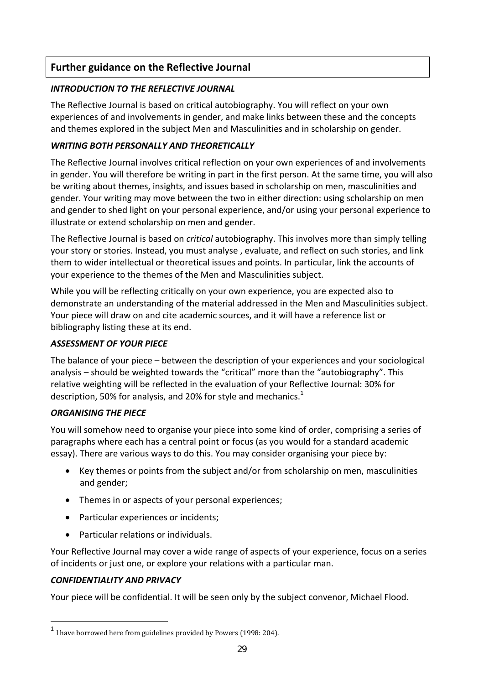# **Further guidance on the Reflective Journal**

# *INTRODUCTION TO THE REFLECTIVE JOURNAL*

The Reflective Journal is based on critical autobiography. You will reflect on your own experiences of and involvements in gender, and make links between these and the concepts and themes explored in the subject Men and Masculinities and in scholarship on gender.

# *WRITING BOTH PERSONALLY AND THEORETICALLY*

The Reflective Journal involves critical reflection on your own experiences of and involvements in gender. You will therefore be writing in part in the first person. At the same time, you will also be writing about themes, insights, and issues based in scholarship on men, masculinities and gender. Your writing may move between the two in either direction: using scholarship on men and gender to shed light on your personal experience, and/or using your personal experience to illustrate or extend scholarship on men and gender.

The Reflective Journal is based on *critical* autobiography. This involves more than simply telling your story or stories. Instead, you must analyse , evaluate, and reflect on such stories, and link them to wider intellectual or theoretical issues and points. In particular, link the accounts of your experience to the themes of the Men and Masculinities subject.

While you will be reflecting critically on your own experience, you are expected also to demonstrate an understanding of the material addressed in the Men and Masculinities subject. Your piece will draw on and cite academic sources, and it will have a reference list or bibliography listing these at its end.

# *ASSESSMENT OF YOUR PIECE*

The balance of your piece – between the description of your experiences and your sociological analysis – should be weighted towards the "critical" more than the "autobiography". This relative weighting will be reflected in the evaluation of your Reflective Journal: 30% for description, 50% for analysis, and 20% for style and mechanics. $1$ 

# *ORGANISING THE PIECE*

You will somehow need to organise your piece into some kind of order, comprising a series of paragraphs where each has a central point or focus (as you would for a standard academic essay). There are various ways to do this. You may consider organising your piece by:

- Key themes or points from the subject and/or from scholarship on men, masculinities and gender;
- Themes in or aspects of your personal experiences;
- Particular experiences or incidents;
- Particular relations or individuals.

Your Reflective Journal may cover a wide range of aspects of your experience, focus on a series of incidents or just one, or explore your relations with a particular man.

# *CONFIDENTIALITY AND PRIVACY*

Your piece will be confidential. It will be seen only by the subject convenor, Michael Flood.

 $1$  I have borrowed here from guidelines provided by Powers (1998: 204).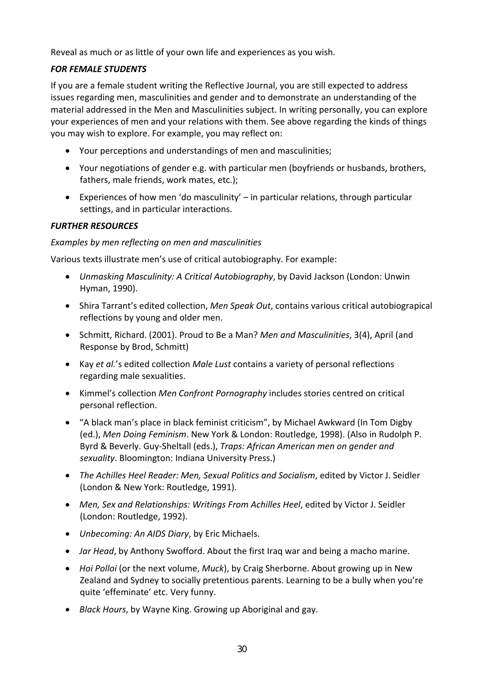Reveal as much or as little of your own life and experiences as you wish.

# *FOR FEMALE STUDENTS*

If you are a female student writing the Reflective Journal, you are still expected to address issues regarding men, masculinities and gender and to demonstrate an understanding of the material addressed in the Men and Masculinities subject. In writing personally, you can explore your experiences of men and your relations with them. See above regarding the kinds of things you may wish to explore. For example, you may reflect on:

- Your perceptions and understandings of men and masculinities;
- Your negotiations of gender e.g. with particular men (boyfriends or husbands, brothers, fathers, male friends, work mates, etc.);
- Experiences of how men 'do masculinity' in particular relations, through particular settings, and in particular interactions.

## *FURTHER RESOURCES*

## *Examples by men reflecting on men and masculinities*

Various texts illustrate men's use of critical autobiography. For example:

- *Unmasking Masculinity: A Critical Autobiography*, by David Jackson (London: Unwin Hyman, 1990).
- Shira Tarrant's edited collection, *Men Speak Out*, contains various critical autobiograpical reflections by young and older men.
- Schmitt, Richard. (2001). Proud to Be a Man? *Men and Masculinities*, 3(4), April (and Response by Brod, Schmitt)
- Kay *et al.*'s edited collection *Male Lust* contains a variety of personal reflections regarding male sexualities.
- Kimmel's collection *Men Confront Pornography* includes stories centred on critical personal reflection.
- "A black man's place in black feminist criticism", by Michael Awkward (In Tom Digby (ed.), *Men Doing Feminism*. New York & London: Routledge, 1998). (Also in Rudolph P. Byrd & Beverly. Guy‐Sheltall (eds.), *Traps: African American men on gender and sexuality*. Bloomington: Indiana University Press.)
- *The Achilles Heel Reader: Men, Sexual Politics and Socialism*, edited by Victor J. Seidler (London & New York: Routledge, 1991).
- *Men, Sex and Relationships: Writings From Achilles Heel*, edited by Victor J. Seidler (London: Routledge, 1992).
- *Unbecoming: An AIDS Diary*, by Eric Michaels.
- *Jar Head*, by Anthony Swofford. About the first Iraq war and being a macho marine.
- *Hoi Polloi* (or the next volume, *Muck*), by Craig Sherborne. About growing up in New Zealand and Sydney to socially pretentious parents. Learning to be a bully when you're quite 'effeminate' etc. Very funny.
- *Black Hours*, by Wayne King. Growing up Aboriginal and gay.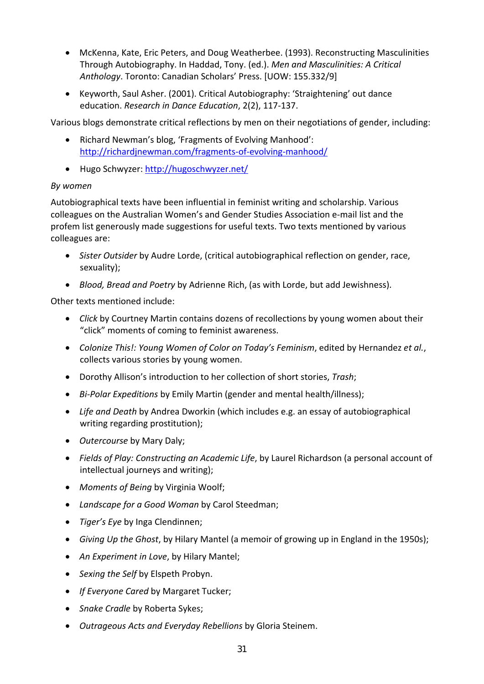- McKenna, Kate, Eric Peters, and Doug Weatherbee. (1993). Reconstructing Masculinities Through Autobiography. In Haddad, Tony. (ed.). *Men and Masculinities: A Critical Anthology*. Toronto: Canadian Scholars' Press. [UOW: 155.332/9]
- Keyworth, Saul Asher. (2001). Critical Autobiography: 'Straightening' out dance education. *Research in Dance Education*, 2(2), 117‐137.

Various blogs demonstrate critical reflections by men on their negotiations of gender, including:

- Richard Newman's blog, 'Fragments of Evolving Manhood': http://richardjnewman.com/fragments‐of‐evolving‐manhood/
- Hugo Schwyzer: http://hugoschwyzer.net/

## *By women*

Autobiographical texts have been influential in feminist writing and scholarship. Various colleagues on the Australian Women's and Gender Studies Association e‐mail list and the profem list generously made suggestions for useful texts. Two texts mentioned by various colleagues are:

- *Sister Outsider* by Audre Lorde, (critical autobiographical reflection on gender, race, sexuality);
- *Blood, Bread and Poetry* by Adrienne Rich, (as with Lorde, but add Jewishness).

Other texts mentioned include:

- *Click* by Courtney Martin contains dozens of recollections by young women about their "click" moments of coming to feminist awareness.
- *Colonize This!: Young Women of Color on Today's Feminism*, edited by Hernandez *et al.*, collects various stories by young women.
- Dorothy Allison's introduction to her collection of short stories, *Trash*;
- *Bi‐Polar Expeditions* by Emily Martin (gender and mental health/illness);
- *Life and Death* by Andrea Dworkin (which includes e.g. an essay of autobiographical writing regarding prostitution);
- *Outercourse* by Mary Daly;
- *Fields of Play: Constructing an Academic Life*, by Laurel Richardson (a personal account of intellectual journeys and writing);
- *Moments of Being* by Virginia Woolf;
- *Landscape for a Good Woman* by Carol Steedman;
- *Tiger's Eye* by Inga Clendinnen;
- *Giving Up the Ghost*, by Hilary Mantel (a memoir of growing up in England in the 1950s);
- *An Experiment in Love*, by Hilary Mantel;
- *Sexing the Self* by Elspeth Probyn.
- *If Everyone Cared* by Margaret Tucker;
- *Snake Cradle* by Roberta Sykes;
- *Outrageous Acts and Everyday Rebellions* by Gloria Steinem.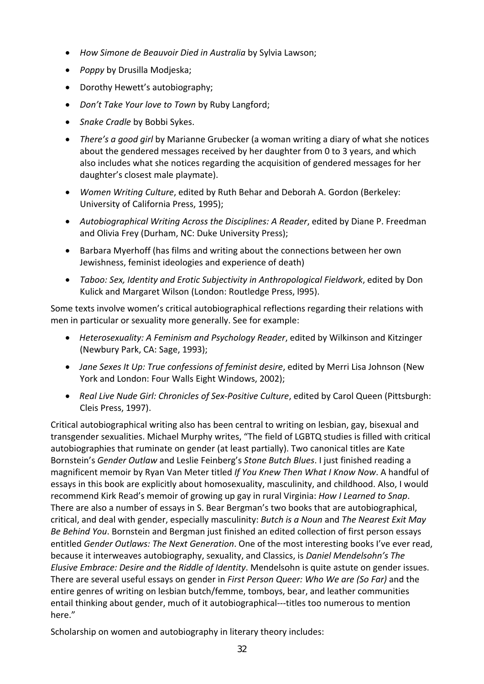- *How Simone de Beauvoir Died in Australia* by Sylvia Lawson;
- *Poppy* by Drusilla Modjeska;
- Dorothy Hewett's autobiography;
- *Don't Take Your love to Town* by Ruby Langford;
- *Snake Cradle* by Bobbi Sykes.
- *There's a good girl* by Marianne Grubecker (a woman writing a diary of what she notices about the gendered messages received by her daughter from 0 to 3 years, and which also includes what she notices regarding the acquisition of gendered messages for her daughter's closest male playmate).
- *Women Writing Culture*, edited by Ruth Behar and Deborah A. Gordon (Berkeley: University of California Press, 1995);
- *Autobiographical Writing Across the Disciplines: A Reader*, edited by Diane P. Freedman and Olivia Frey (Durham, NC: Duke University Press);
- Barbara Myerhoff (has films and writing about the connections between her own Jewishness, feminist ideologies and experience of death)
- *Taboo: Sex, Identity and Erotic Subjectivity in Anthropological Fieldwork*, edited by Don Kulick and Margaret Wilson (London: Routledge Press, l995).

Some texts involve women's critical autobiographical reflections regarding their relations with men in particular or sexuality more generally. See for example:

- *Heterosexuality: A Feminism and Psychology Reader*, edited by Wilkinson and Kitzinger (Newbury Park, CA: Sage, 1993);
- *Jane Sexes It Up: True confessions of feminist desire*, edited by Merri Lisa Johnson (New York and London: Four Walls Eight Windows, 2002);
- *Real Live Nude Girl: Chronicles of Sex‐Positive Culture*, edited by Carol Queen (Pittsburgh: Cleis Press, 1997).

Critical autobiographical writing also has been central to writing on lesbian, gay, bisexual and transgender sexualities. Michael Murphy writes, "The field of LGBTQ studies is filled with critical autobiographies that ruminate on gender (at least partially). Two canonical titles are Kate Bornstein's *Gender Outlaw* and Leslie Feinberg's *Stone Butch Blues*. I just finished reading a magnificent memoir by Ryan Van Meter titled *If You Knew Then What I Know Now*. A handful of essays in this book are explicitly about homosexuality, masculinity, and childhood. Also, I would recommend Kirk Read's memoir of growing up gay in rural Virginia: *How I Learned to Snap*. There are also a number of essays in S. Bear Bergman's two books that are autobiographical, critical, and deal with gender, especially masculinity: *Butch is a Noun* and *The Nearest Exit May Be Behind You*. Bornstein and Bergman just finished an edited collection of first person essays entitled *Gender Outlaws: The Next Generation*. One of the most interesting books I've ever read, because it interweaves autobiography, sexuality, and Classics, is *Daniel Mendelsohn's The Elusive Embrace: Desire and the Riddle of Identity*. Mendelsohn is quite astute on gender issues. There are several useful essays on gender in *First Person Queer: Who We are (So Far)* and the entire genres of writing on lesbian butch/femme, tomboys, bear, and leather communities entail thinking about gender, much of it autobiographical‐‐‐titles too numerous to mention here."

Scholarship on women and autobiography in literary theory includes: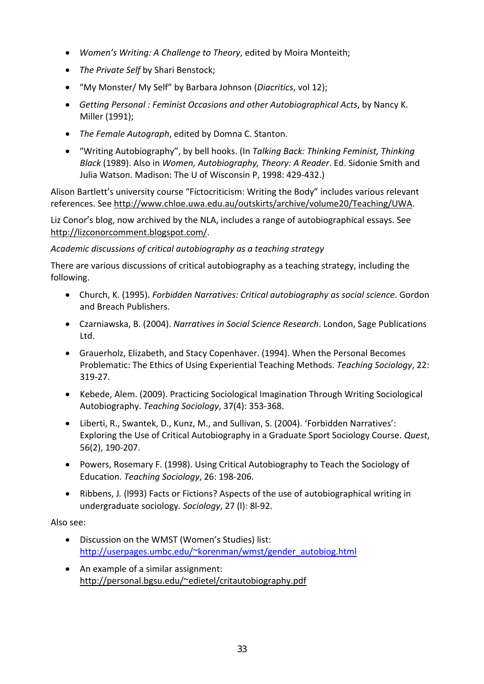- *Women's Writing: A Challenge to Theory*, edited by Moira Monteith;
- *The Private Self* by Shari Benstock;
- "My Monster/ My Self" by Barbara Johnson (*Diacritics*, vol 12);
- *Getting Personal : Feminist Occasions and other Autobiographical Acts*, by Nancy K. Miller (1991);
- *The Female Autograph*, edited by Domna C. Stanton.
- "Writing Autobiography", by bell hooks. (In *Talking Back: Thinking Feminist, Thinking Black* (1989). Also in *Women, Autobiography, Theory: A Reader*. Ed. Sidonie Smith and Julia Watson. Madison: The U of Wisconsin P, 1998: 429‐432.)

Alison Bartlett's university course "Fictocriticism: Writing the Body" includes various relevant references. See http://www.chloe.uwa.edu.au/outskirts/archive/volume20/Teaching/UWA.

Liz Conor's blog, now archived by the NLA, includes a range of autobiographical essays. See http://lizconorcomment.blogspot.com/.

# *Academic discussions of critical autobiography as a teaching strategy*

There are various discussions of critical autobiography as a teaching strategy, including the following.

- Church, K. (1995). *Forbidden Narratives: Critical autobiography as social science*. Gordon and Breach Publishers.
- Czarniawska, B. (2004). *Narratives in Social Science Research*. London, Sage Publications Ltd.
- Grauerholz, Elizabeth, and Stacy Copenhaver. (1994). When the Personal Becomes Problematic: The Ethics of Using Experiential Teaching Methods. *Teaching Sociology*, 22: 319‐27.
- Kebede, Alem. (2009). Practicing Sociological Imagination Through Writing Sociological Autobiography. *Teaching Sociology*, 37(4): 353‐368.
- Liberti, R., Swantek, D., Kunz, M., and Sullivan, S. (2004). 'Forbidden Narratives': Exploring the Use of Critical Autobiography in a Graduate Sport Sociology Course. *Quest*, 56(2), 190‐207.
- Powers, Rosemary F. (1998). Using Critical Autobiography to Teach the Sociology of Education. *Teaching Sociology*, 26: 198‐206.
- Ribbens, J*.* (l993) Facts or Fictions? Aspects of the use of autobiographical writing in undergraduate sociology. *Sociology*, 27 (l): 8l‐92.

Also see:

- Discussion on the WMST (Women's Studies) list: http://userpages.umbc.edu/~korenman/wmst/gender\_autobiog.html
- An example of a similar assignment: http://personal.bgsu.edu/~edietel/critautobiography.pdf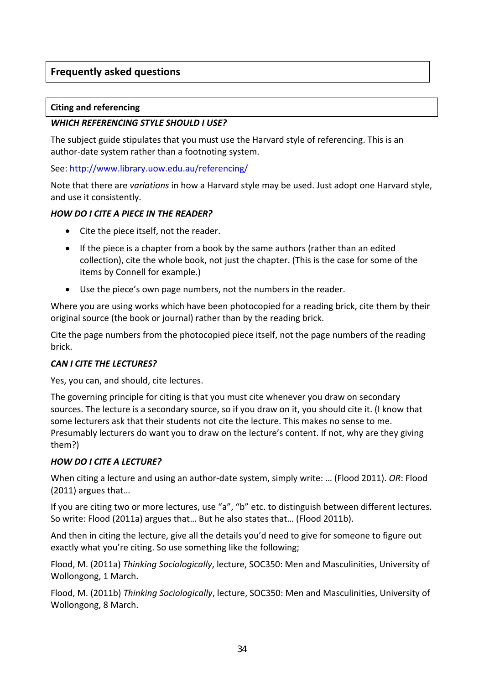# **Frequently asked questions**

## **Citing and referencing**

## *WHICH REFERENCING STYLE SHOULD I USE?*

The subject guide stipulates that you must use the Harvard style of referencing. This is an author-date system rather than a footnoting system.

See: http://www.library.uow.edu.au/referencing/

Note that there are *variations* in how a Harvard style may be used. Just adopt one Harvard style, and use it consistently.

## *HOW DO I CITE A PIECE IN THE READER?*

- Cite the piece itself, not the reader.
- If the piece is a chapter from a book by the same authors (rather than an edited collection), cite the whole book, not just the chapter. (This is the case for some of the items by Connell for example.)
- Use the piece's own page numbers, not the numbers in the reader.

Where you are using works which have been photocopied for a reading brick, cite them by their original source (the book or journal) rather than by the reading brick.

Cite the page numbers from the photocopied piece itself, not the page numbers of the reading brick.

## *CAN I CITE THE LECTURES?*

Yes, you can, and should, cite lectures.

The governing principle for citing is that you must cite whenever you draw on secondary sources. The lecture is a secondary source, so if you draw on it, you should cite it. (I know that some lecturers ask that their students not cite the lecture. This makes no sense to me. Presumably lecturers do want you to draw on the lecture's content. If not, why are they giving them?)

## *HOW DO I CITE A LECTURE?*

When citing a lecture and using an author‐date system, simply write: … (Flood 2011). *OR*: Flood (2011) argues that…

If you are citing two or more lectures, use "a", "b" etc. to distinguish between different lectures. So write: Flood (2011a) argues that… But he also states that… (Flood 2011b).

And then in citing the lecture, give all the details you'd need to give for someone to figure out exactly what you're citing. So use something like the following;

Flood, M. (2011a) *Thinking Sociologically*, lecture, SOC350: Men and Masculinities, University of Wollongong, 1 March.

Flood, M. (2011b) *Thinking Sociologically*, lecture, SOC350: Men and Masculinities, University of Wollongong, 8 March.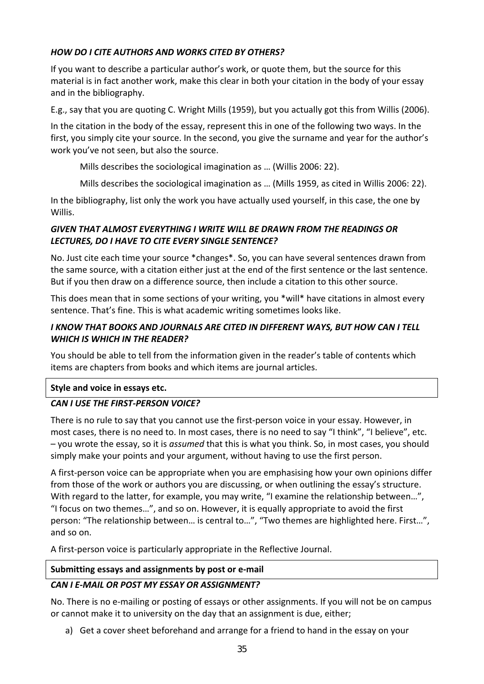# *HOW DO I CITE AUTHORS AND WORKS CITED BY OTHERS?*

If you want to describe a particular author's work, or quote them, but the source for this material is in fact another work, make this clear in both your citation in the body of your essay and in the bibliography.

E.g., say that you are quoting C. Wright Mills (1959), but you actually got this from Willis (2006).

In the citation in the body of the essay, represent this in one of the following two ways. In the first, you simply cite your source. In the second, you give the surname and year for the author's work you've not seen, but also the source.

Mills describes the sociological imagination as … (Willis 2006: 22).

Mills describes the sociological imagination as … (Mills 1959, as cited in Willis 2006: 22).

In the bibliography, list only the work you have actually used yourself, in this case, the one by Willis.

# *GIVEN THAT ALMOST EVERYTHING I WRITE WILL BE DRAWN FROM THE READINGS OR LECTURES, DO I HAVE TO CITE EVERY SINGLE SENTENCE?*

No. Just cite each time your source \*changes\*. So, you can have several sentences drawn from the same source, with a citation either just at the end of the first sentence or the last sentence. But if you then draw on a difference source, then include a citation to this other source.

This does mean that in some sections of your writing, you \*will\* have citations in almost every sentence. That's fine. This is what academic writing sometimes looks like.

# *I KNOW THAT BOOKS AND JOURNALS ARE CITED IN DIFFERENT WAYS, BUT HOW CAN I TELL WHICH IS WHICH IN THE READER?*

You should be able to tell from the information given in the reader's table of contents which items are chapters from books and which items are journal articles.

## **Style and voice in essays etc.**

# *CAN I USE THE FIRST‐PERSON VOICE?*

There is no rule to say that you cannot use the first‐person voice in your essay. However, in most cases, there is no need to. In most cases, there is no need to say "I think", "I believe", etc. – you wrote the essay, so it is *assumed* that this is what you think. So, in most cases, you should simply make your points and your argument, without having to use the first person.

A first-person voice can be appropriate when you are emphasising how your own opinions differ from those of the work or authors you are discussing, or when outlining the essay's structure. With regard to the latter, for example, you may write, "I examine the relationship between...", "I focus on two themes…", and so on. However, it is equally appropriate to avoid the first person: "The relationship between… is central to…", "Two themes are highlighted here. First…", and so on.

A first‐person voice is particularly appropriate in the Reflective Journal.

## **Submitting essays and assignments by post or e‐mail**

## *CAN I E‐MAIL OR POST MY ESSAY OR ASSIGNMENT?*

No. There is no e-mailing or posting of essays or other assignments. If you will not be on campus or cannot make it to university on the day that an assignment is due, either;

a) Get a cover sheet beforehand and arrange for a friend to hand in the essay on your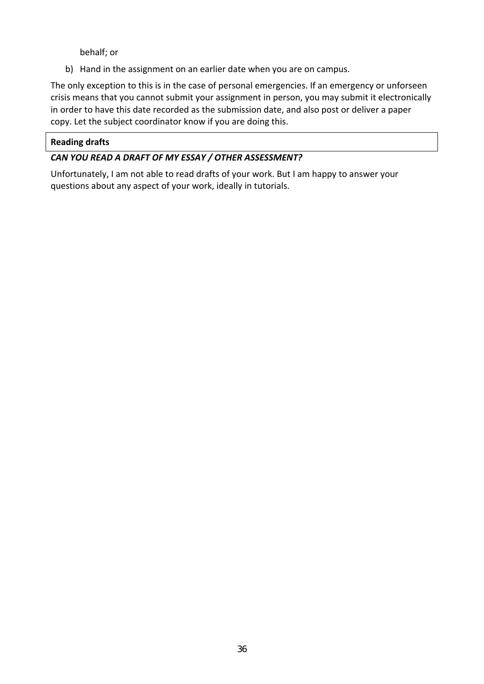behalf; or

b) Hand in the assignment on an earlier date when you are on campus.

The only exception to this is in the case of personal emergencies. If an emergency or unforseen crisis means that you cannot submit your assignment in person, you may submit it electronically in order to have this date recorded as the submission date, and also post or deliver a paper copy. Let the subject coordinator know if you are doing this.

# **Reading drafts**

# *CAN YOU READ A DRAFT OF MY ESSAY / OTHER ASSESSMENT?*

Unfortunately, I am not able to read drafts of your work. But I am happy to answer your questions about any aspect of your work, ideally in tutorials.